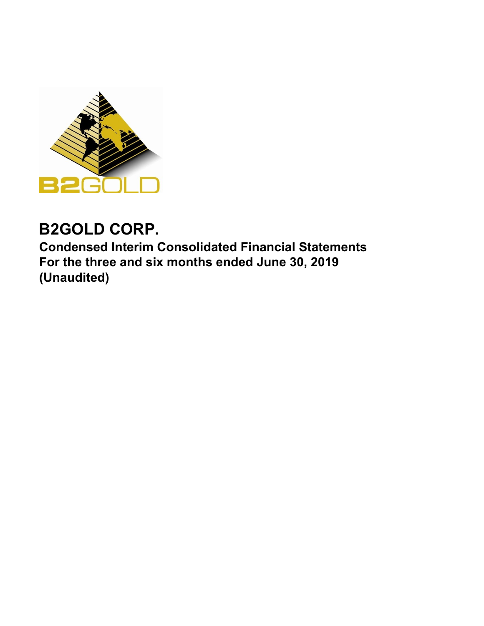

# **B2GOLD CORP.**

**Condensed Interim Consolidated Financial Statements For the three and six months ended June 30, 2019 (Unaudited)**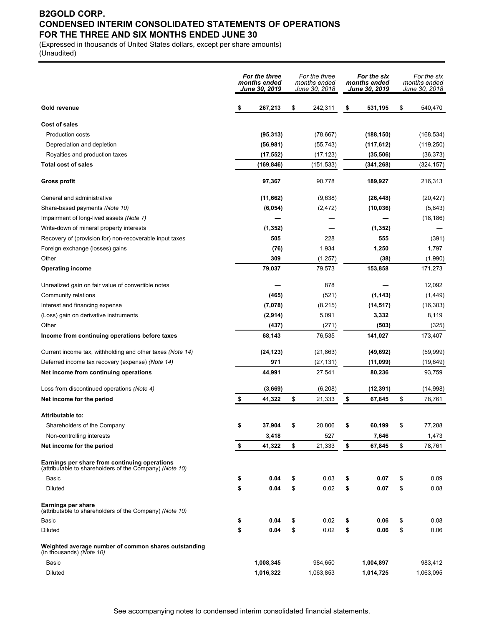### **B2GOLD CORP. CONDENSED INTERIM CONSOLIDATED STATEMENTS OF OPERATIONS FOR THE THREE AND SIX MONTHS ENDED JUNE 30**

(Expressed in thousands of United States dollars, except per share amounts) (Unaudited)

|                                                                                                          | For the three<br>months ended<br>June 30. 2019 |            | For the three<br>months ended<br>June 30, 2018 |           | For the six<br>months ended<br>June 30, 2019 |            | For the six<br>months ended<br>June 30, 2018 |            |
|----------------------------------------------------------------------------------------------------------|------------------------------------------------|------------|------------------------------------------------|-----------|----------------------------------------------|------------|----------------------------------------------|------------|
| Gold revenue                                                                                             | \$                                             | 267,213    | \$                                             | 242,311   | \$                                           | 531,195    | \$                                           | 540,470    |
| <b>Cost of sales</b>                                                                                     |                                                |            |                                                |           |                                              |            |                                              |            |
| <b>Production costs</b>                                                                                  |                                                | (95, 313)  |                                                | (78, 667) |                                              | (188, 150) |                                              | (168, 534) |
| Depreciation and depletion                                                                               |                                                | (56, 981)  |                                                | (55, 743) |                                              | (117, 612) |                                              | (119, 250) |
| Royalties and production taxes                                                                           |                                                | (17, 552)  |                                                | (17, 123) |                                              | (35, 506)  |                                              | (36, 373)  |
| <b>Total cost of sales</b>                                                                               |                                                | (169, 846) |                                                | (151,533) |                                              | (341, 268) |                                              | (324,157)  |
| <b>Gross profit</b>                                                                                      |                                                | 97,367     |                                                | 90,778    |                                              | 189,927    |                                              | 216,313    |
| General and administrative                                                                               |                                                | (11,662)   |                                                | (9,638)   |                                              | (26, 448)  |                                              | (20, 427)  |
| Share-based payments (Note 10)                                                                           |                                                | (6,054)    |                                                | (2, 472)  |                                              | (10, 036)  |                                              | (5,843)    |
| Impairment of long-lived assets (Note 7)                                                                 |                                                |            |                                                |           |                                              |            |                                              | (18, 186)  |
| Write-down of mineral property interests                                                                 |                                                | (1, 352)   |                                                |           |                                              | (1, 352)   |                                              |            |
| Recovery of (provision for) non-recoverable input taxes                                                  |                                                | 505        |                                                | 228       |                                              | 555        |                                              | (391)      |
| Foreign exchange (losses) gains                                                                          |                                                | (76)       |                                                | 1,934     |                                              | 1,250      |                                              | 1,797      |
| Other                                                                                                    |                                                | 309        |                                                | (1, 257)  |                                              | (38)       |                                              | (1,990)    |
| <b>Operating income</b>                                                                                  |                                                | 79,037     |                                                | 79,573    |                                              | 153,858    |                                              | 171,273    |
| Unrealized gain on fair value of convertible notes                                                       |                                                |            |                                                | 878       |                                              |            |                                              | 12,092     |
| Community relations                                                                                      |                                                | (465)      |                                                | (521)     |                                              | (1, 143)   |                                              | (1, 449)   |
| Interest and financing expense                                                                           |                                                | (7,078)    |                                                | (8, 215)  |                                              | (14, 517)  |                                              | (16, 303)  |
| (Loss) gain on derivative instruments                                                                    |                                                | (2,914)    |                                                | 5,091     |                                              | 3,332      |                                              | 8,119      |
| Other                                                                                                    |                                                | (437)      |                                                | (271)     |                                              | (503)      |                                              | (325)      |
| Income from continuing operations before taxes                                                           |                                                | 68,143     |                                                | 76,535    |                                              | 141,027    |                                              | 173,407    |
| Current income tax, withholding and other taxes (Note 14)                                                |                                                | (24, 123)  |                                                | (21, 863) |                                              | (49, 692)  |                                              | (59, 999)  |
| Deferred income tax recovery (expense) (Note 14)                                                         |                                                | 971        |                                                | (27, 131) |                                              | (11,099)   |                                              | (19, 649)  |
| Net income from continuing operations                                                                    |                                                | 44,991     |                                                | 27,541    |                                              | 80,236     |                                              | 93,759     |
| Loss from discontinued operations (Note 4)                                                               |                                                | (3,669)    |                                                | (6, 208)  |                                              | (12, 391)  |                                              | (14, 998)  |
| Net income for the period                                                                                | \$                                             | 41,322     | \$                                             | 21,333    | \$                                           | 67,845     | \$                                           | 78,761     |
| <b>Attributable to:</b>                                                                                  |                                                |            |                                                |           |                                              |            |                                              |            |
| Shareholders of the Company                                                                              |                                                | 37,904     |                                                | 20,806    |                                              | 60,199     |                                              | 77,288     |
| Non-controlling interests                                                                                |                                                | 3,418      |                                                | 527       |                                              | 7,646      |                                              | 1,473      |
| Net income for the period                                                                                | \$                                             | 41,322     | \$                                             | 21,333    | \$                                           | 67,845     | \$                                           | 78,761     |
| Earnings per share from continuing operations<br>(attributable to shareholders of the Company) (Note 10) |                                                |            |                                                |           |                                              |            |                                              |            |
| Basic                                                                                                    | \$                                             | 0.04       | \$                                             | 0.03      | \$                                           | 0.07       | \$                                           | 0.09       |
| Diluted                                                                                                  | \$                                             | 0.04       | \$                                             | 0.02      | \$                                           | 0.07       | \$                                           | 0.08       |
| <b>Earnings per share</b><br>(attributable to shareholders of the Company) (Note 10)                     |                                                |            |                                                |           |                                              |            |                                              |            |
| Basic                                                                                                    | \$                                             | 0.04       | \$                                             | 0.02      | \$                                           | 0.06       | \$                                           | 0.08       |
| <b>Diluted</b>                                                                                           | \$                                             | 0.04       | \$                                             | 0.02      | \$                                           | 0.06       | \$                                           | 0.06       |
| Weighted average number of common shares outstanding<br>(in thousands) (Note 10)                         |                                                |            |                                                |           |                                              |            |                                              |            |
| Basic                                                                                                    |                                                | 1,008,345  |                                                | 984,650   |                                              | 1,004,897  |                                              | 983,412    |
| Diluted                                                                                                  |                                                | 1,016,322  |                                                | 1,063,853 |                                              | 1,014,725  |                                              | 1,063,095  |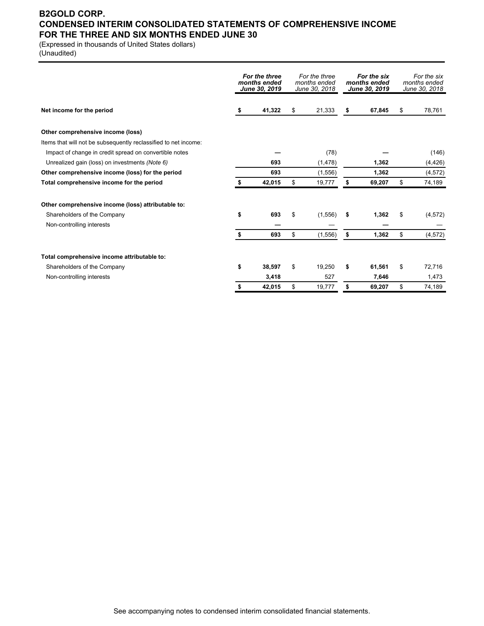### **B2GOLD CORP. CONDENSED INTERIM CONSOLIDATED STATEMENTS OF COMPREHENSIVE INCOME FOR THE THREE AND SIX MONTHS ENDED JUNE 30**

(Expressed in thousands of United States dollars) (Unaudited)

|                                                                 | For the three<br>months ended<br>June 30, 2019 |        | For the three<br>months ended<br>June 30, 2018 |          | For the six<br>months ended<br>June 30, 2019 |        | For the six<br>months ended<br>June 30, 2018 |          |
|-----------------------------------------------------------------|------------------------------------------------|--------|------------------------------------------------|----------|----------------------------------------------|--------|----------------------------------------------|----------|
| Net income for the period                                       | s                                              | 41,322 | S                                              | 21,333   | \$                                           | 67,845 | \$                                           | 78,761   |
| Other comprehensive income (loss)                               |                                                |        |                                                |          |                                              |        |                                              |          |
| Items that will not be subsequently reclassified to net income: |                                                |        |                                                |          |                                              |        |                                              |          |
| Impact of change in credit spread on convertible notes          |                                                |        |                                                | (78)     |                                              |        |                                              | (146)    |
| Unrealized gain (loss) on investments (Note 6)                  |                                                | 693    |                                                | (1, 478) |                                              | 1,362  |                                              | (4, 426) |
| Other comprehensive income (loss) for the period                |                                                | 693    |                                                | (1,556)  |                                              | 1,362  |                                              | (4, 572) |
| Total comprehensive income for the period                       |                                                | 42,015 | \$                                             | 19,777   | \$                                           | 69,207 | \$                                           | 74,189   |
| Other comprehensive income (loss) attributable to:              |                                                |        |                                                |          |                                              |        |                                              |          |
| Shareholders of the Company                                     | \$                                             | 693    | \$                                             | (1, 556) | \$                                           | 1,362  | \$                                           | (4, 572) |
| Non-controlling interests                                       |                                                |        |                                                |          |                                              |        |                                              |          |
|                                                                 |                                                | 693    | \$                                             | (1, 556) | \$                                           | 1,362  | \$                                           | (4, 572) |
| Total comprehensive income attributable to:                     |                                                |        |                                                |          |                                              |        |                                              |          |
| Shareholders of the Company                                     | \$                                             | 38.597 | \$                                             | 19.250   | \$                                           | 61.561 | \$                                           | 72.716   |
| Non-controlling interests                                       |                                                | 3,418  |                                                | 527      |                                              | 7,646  |                                              | 1,473    |
|                                                                 | S                                              | 42,015 | \$                                             | 19,777   | \$                                           | 69,207 | \$                                           | 74,189   |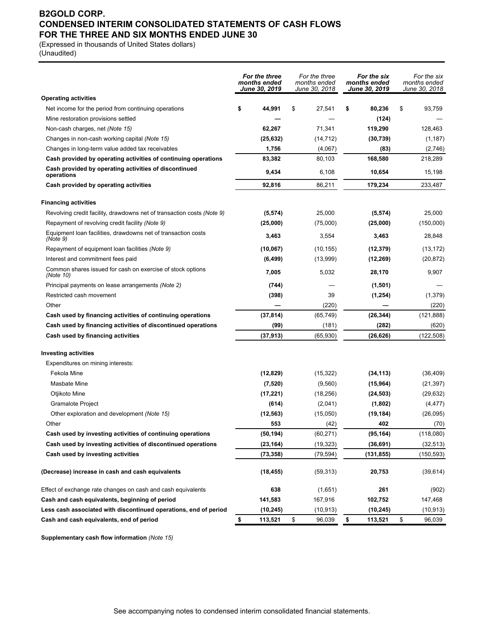### **B2GOLD CORP. CONDENSED INTERIM CONSOLIDATED STATEMENTS OF CASH FLOWS FOR THE THREE AND SIX MONTHS ENDED JUNE 30**

(Expressed in thousands of United States dollars)

(Unaudited)

|                                                                           |    | For the three<br>months ended<br>June 30, 2019 |    | For the three<br>months ended<br>June 30, 2018 |    | For the six<br>months ended<br>June 30, 2019 |    | For the six<br>months ended<br>June 30, 2018 |  |
|---------------------------------------------------------------------------|----|------------------------------------------------|----|------------------------------------------------|----|----------------------------------------------|----|----------------------------------------------|--|
| <b>Operating activities</b>                                               |    |                                                |    |                                                |    |                                              |    |                                              |  |
| Net income for the period from continuing operations                      | \$ | 44,991                                         | \$ | 27,541                                         | \$ | 80,236                                       | \$ | 93,759                                       |  |
| Mine restoration provisions settled                                       |    |                                                |    |                                                |    | (124)                                        |    |                                              |  |
| Non-cash charges, net (Note 15)                                           |    | 62,267                                         |    | 71,341                                         |    | 119,290                                      |    | 128,463                                      |  |
| Changes in non-cash working capital (Note 15)                             |    | (25, 632)                                      |    | (14, 712)                                      |    | (30, 739)                                    |    | (1, 187)                                     |  |
| Changes in long-term value added tax receivables                          |    | 1,756                                          |    | (4,067)                                        |    | (83)                                         |    | (2,746)                                      |  |
| Cash provided by operating activities of continuing operations            |    | 83,382                                         |    | 80,103                                         |    | 168,580                                      |    | 218,289                                      |  |
| Cash provided by operating activities of discontinued<br>operations       |    | 9,434                                          |    | 6,108                                          |    | 10,654                                       |    | 15,198                                       |  |
| Cash provided by operating activities                                     |    | 92,816                                         |    | 86,211                                         |    | 179,234                                      |    | 233,487                                      |  |
| <b>Financing activities</b>                                               |    |                                                |    |                                                |    |                                              |    |                                              |  |
| Revolving credit facility, drawdowns net of transaction costs (Note 9)    |    | (5, 574)                                       |    | 25,000                                         |    | (5, 574)                                     |    | 25,000                                       |  |
| Repayment of revolving credit facility (Note 9)                           |    | (25,000)                                       |    | (75,000)                                       |    | (25,000)                                     |    | (150,000)                                    |  |
| Equipment loan facilities, drawdowns net of transaction costs<br>(Note 9) |    | 3,463                                          |    | 3,554                                          |    | 3,463                                        |    | 28,848                                       |  |
| Repayment of equipment loan facilities (Note 9)                           |    | (10,067)                                       |    | (10, 155)                                      |    | (12, 379)                                    |    | (13, 172)                                    |  |
| Interest and commitment fees paid                                         |    | (6, 499)                                       |    | (13,999)                                       |    | (12, 269)                                    |    | (20, 872)                                    |  |
| Common shares issued for cash on exercise of stock options<br>(Note 10)   |    | 7,005                                          |    | 5,032                                          |    | 28,170                                       |    | 9,907                                        |  |
| Principal payments on lease arrangements (Note 2)                         |    | (744)                                          |    |                                                |    | (1,501)                                      |    |                                              |  |
| Restricted cash movement                                                  |    | (398)                                          |    | 39                                             |    | (1, 254)                                     |    | (1, 379)                                     |  |
| Other                                                                     |    |                                                |    | (220)                                          |    |                                              |    | (220)                                        |  |
| Cash used by financing activities of continuing operations                |    | (37, 814)                                      |    | (65, 749)                                      |    | (26, 344)                                    |    | (121, 888)                                   |  |
| Cash used by financing activities of discontinued operations              |    | (99)                                           |    | (181)                                          |    | (282)                                        |    | (620)                                        |  |
| Cash used by financing activities                                         |    | (37, 913)                                      |    | (65, 930)                                      |    | (26, 626)                                    |    | (122, 508)                                   |  |
| <b>Investing activities</b>                                               |    |                                                |    |                                                |    |                                              |    |                                              |  |
| Expenditures on mining interests:                                         |    |                                                |    |                                                |    |                                              |    |                                              |  |
| Fekola Mine                                                               |    | (12, 829)                                      |    | (15, 322)                                      |    | (34, 113)                                    |    | (36, 409)                                    |  |
| Masbate Mine                                                              |    | (7, 520)                                       |    | (9,560)                                        |    | (15,964)                                     |    | (21, 397)                                    |  |
| Otjikoto Mine                                                             |    | (17, 221)                                      |    | (18, 256)                                      |    | (24, 503)                                    |    | (29, 632)                                    |  |
| <b>Gramalote Project</b>                                                  |    | (614)                                          |    | (2,041)                                        |    | (1,802)                                      |    | (4, 477)                                     |  |
| Other exploration and development (Note 15)                               |    | (12, 563)                                      |    | (15,050)                                       |    | (19, 184)                                    |    | (26,095)                                     |  |
| Other                                                                     |    | 553                                            |    | (42)                                           |    | 402                                          |    | (70)                                         |  |
| Cash used by investing activities of continuing operations                |    | (50, 194)                                      |    | (60, 271)                                      |    | (95, 164)                                    |    | (118,080)                                    |  |
| Cash used by investing activities of discontinued operations              |    | (23, 164)                                      |    | (19, 323)                                      |    | (36, 691)                                    |    | (32, 513)                                    |  |
| Cash used by investing activities                                         |    | (73, 358)                                      |    | (79, 594)                                      |    | (131, 855)                                   |    | (150,593)                                    |  |
| (Decrease) increase in cash and cash equivalents                          |    | (18, 455)                                      |    | (59, 313)                                      |    | 20,753                                       |    | (39, 614)                                    |  |
| Effect of exchange rate changes on cash and cash equivalents              |    | 638                                            |    | (1,651)                                        |    | 261                                          |    | (902)                                        |  |
| Cash and cash equivalents, beginning of period                            |    | 141,583                                        |    | 167,916                                        |    | 102,752                                      |    | 147,468                                      |  |
| Less cash associated with discontinued operations, end of period          |    | (10, 245)                                      |    | (10, 913)                                      |    | (10, 245)                                    |    | (10, 913)                                    |  |
| Cash and cash equivalents, end of period                                  | \$ | 113,521                                        | \$ | 96,039                                         | \$ | 113,521                                      | \$ | 96,039                                       |  |

**Supplementary cash flow information** *(Note 15)*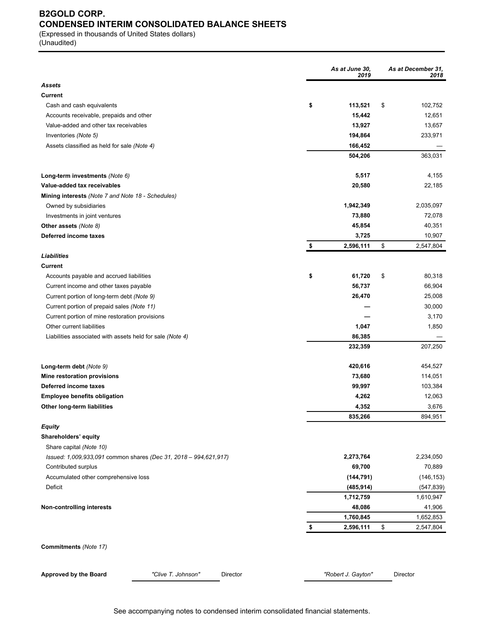### **B2GOLD CORP. CONDENSED INTERIM CONSOLIDATED BALANCE SHEETS**

(Expressed in thousands of United States dollars) (Unaudited)

|                                                                  | As at June 30,<br>2019 | As at December 31,<br>2018 |
|------------------------------------------------------------------|------------------------|----------------------------|
| <b>Assets</b>                                                    |                        |                            |
| Current                                                          |                        |                            |
| Cash and cash equivalents                                        | \$<br>113,521          | \$<br>102,752              |
| Accounts receivable, prepaids and other                          | 15,442                 | 12,651                     |
| Value-added and other tax receivables                            | 13,927                 | 13,657                     |
| Inventories (Note 5)                                             | 194,864                | 233,971                    |
| Assets classified as held for sale (Note 4)                      | 166,452                |                            |
|                                                                  | 504,206                | 363,031                    |
| Long-term investments (Note 6)                                   | 5,517                  | 4,155                      |
| Value-added tax receivables                                      | 20,580                 | 22,185                     |
| Mining interests (Note 7 and Note 18 - Schedules)                |                        |                            |
| Owned by subsidiaries                                            | 1,942,349              | 2,035,097                  |
| Investments in joint ventures                                    | 73,880                 | 72,078                     |
| Other assets (Note 8)                                            | 45,854                 | 40,351                     |
| Deferred income taxes                                            | 3,725                  | 10,907                     |
|                                                                  | \$<br>2,596,111        | \$<br>2,547,804            |
| Liabilities                                                      |                        |                            |
| <b>Current</b>                                                   |                        |                            |
| Accounts payable and accrued liabilities                         | \$<br>61,720           | \$<br>80,318               |
| Current income and other taxes payable                           | 56,737                 | 66,904                     |
| Current portion of long-term debt (Note 9)                       | 26,470                 | 25,008                     |
| Current portion of prepaid sales (Note 11)                       |                        | 30,000                     |
| Current portion of mine restoration provisions                   |                        | 3,170                      |
| Other current liabilities                                        | 1,047                  | 1,850                      |
| Liabilities associated with assets held for sale (Note 4)        | 86,385                 |                            |
|                                                                  | 232,359                | 207,250                    |
| Long-term debt (Note 9)                                          | 420,616                | 454,527                    |
| Mine restoration provisions                                      | 73,680                 | 114,051                    |
| Deferred income taxes                                            | 99,997                 | 103,384                    |
| <b>Employee benefits obligation</b>                              | 4,262                  | 12,063                     |
| Other long-term liabilities                                      | 4,352                  | 3,676                      |
|                                                                  | 835,266                | 894,951                    |
| <b>Equity</b>                                                    |                        |                            |
| Shareholders' equity                                             |                        |                            |
| Share capital (Note 10)                                          |                        |                            |
| Issued: 1,009,933,091 common shares (Dec 31, 2018 - 994,621,917) | 2,273,764              | 2,234,050                  |
| Contributed surplus                                              | 69,700                 | 70,889                     |
| Accumulated other comprehensive loss                             | (144, 791)             | (146, 153)                 |
| Deficit                                                          | (485, 914)             | (547, 839)                 |
|                                                                  | 1,712,759              | 1,610,947                  |
| <b>Non-controlling interests</b>                                 | 48,086                 | 41,906                     |
|                                                                  | 1,760,845              | 1,652,853                  |
|                                                                  | \$<br>2,596,111        | \$<br>2,547,804            |
| Commitments (Note 17)                                            |                        |                            |
| "Clive T. Johnson"<br>Approved by the Board<br>Director          | "Robert J. Gayton"     | Director                   |
|                                                                  |                        |                            |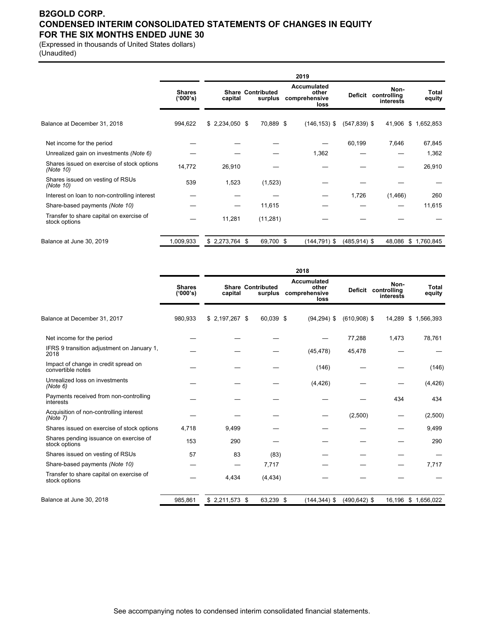### **B2GOLD CORP. CONDENSED INTERIM CONSOLIDATED STATEMENTS OF CHANGES IN EQUITY FOR THE SIX MONTHS ENDED JUNE 30**

(Expressed in thousands of United States dollars) (Unaudited)

|                                                           |                           |                 |                                     | 2019                                          |                 |                                  |                 |
|-----------------------------------------------------------|---------------------------|-----------------|-------------------------------------|-----------------------------------------------|-----------------|----------------------------------|-----------------|
|                                                           | <b>Shares</b><br>('000's) | capital         | <b>Share Contributed</b><br>surplus | Accumulated<br>other<br>comprehensive<br>loss | <b>Deficit</b>  | Non-<br>controlling<br>interests | Total<br>equity |
| Balance at December 31, 2018                              | 994,622                   | $$2,234,050$ \$ | 70,889 \$                           | $(146, 153)$ \$                               | $(547, 839)$ \$ | 41,906                           | \$1,652,853     |
| Net income for the period                                 |                           |                 |                                     |                                               | 60,199          | 7,646                            | 67,845          |
| Unrealized gain on investments (Note 6)                   |                           |                 |                                     | 1,362                                         |                 |                                  | 1,362           |
| Shares issued on exercise of stock options<br>(Note 10)   | 14,772                    | 26,910          |                                     |                                               |                 |                                  | 26,910          |
| Shares issued on vesting of RSUs<br>(Note 10)             | 539                       | 1,523           | (1,523)                             |                                               |                 |                                  |                 |
| Interest on loan to non-controlling interest              |                           |                 |                                     |                                               | 1,726           | (1,466)                          | 260             |
| Share-based payments (Note 10)                            |                           |                 | 11,615                              |                                               |                 |                                  | 11,615          |
| Transfer to share capital on exercise of<br>stock options |                           | 11,281          | (11, 281)                           |                                               |                 |                                  |                 |
| Balance at June 30, 2019                                  | 1,009,933                 | $$2,273,764$ \$ | 69,700 \$                           | $(144, 791)$ \$                               | $(485, 914)$ \$ | 48,086                           | \$1,760,845     |

|                                                           |                           | 2018            |                                     |                                                      |                 |                                          |                        |  |  |
|-----------------------------------------------------------|---------------------------|-----------------|-------------------------------------|------------------------------------------------------|-----------------|------------------------------------------|------------------------|--|--|
|                                                           | <b>Shares</b><br>('000's) | capital         | <b>Share Contributed</b><br>surplus | <b>Accumulated</b><br>other<br>comprehensive<br>loss |                 | Non-<br>Deficit controlling<br>interests | <b>Total</b><br>equity |  |  |
| Balance at December 31, 2017                              | 980,933                   | $$2,197,267$ \$ | 60,039 \$                           | $(94, 294)$ \$                                       | $(610,908)$ \$  | 14,289                                   | \$1,566,393            |  |  |
| Net income for the period                                 |                           |                 |                                     |                                                      | 77,288          | 1,473                                    | 78,761                 |  |  |
| IFRS 9 transition adjustment on January 1,<br>2018        |                           |                 |                                     | (45, 478)                                            | 45,478          |                                          |                        |  |  |
| Impact of change in credit spread on<br>convertible notes |                           |                 |                                     | (146)                                                |                 |                                          | (146)                  |  |  |
| Unrealized loss on investments<br>(Note 6)                |                           |                 |                                     | (4, 426)                                             |                 |                                          | (4, 426)               |  |  |
| Payments received from non-controlling<br>interests       |                           |                 |                                     |                                                      |                 | 434                                      | 434                    |  |  |
| Acquisition of non-controlling interest<br>(Note 7)       |                           |                 |                                     |                                                      | (2,500)         |                                          | (2,500)                |  |  |
| Shares issued on exercise of stock options                | 4.718                     | 9,499           |                                     |                                                      |                 |                                          | 9,499                  |  |  |
| Shares pending issuance on exercise of<br>stock options   | 153                       | 290             |                                     |                                                      |                 |                                          | 290                    |  |  |
| Shares issued on vesting of RSUs                          | 57                        | 83              | (83)                                |                                                      |                 |                                          |                        |  |  |
| Share-based payments (Note 10)                            |                           |                 | 7,717                               |                                                      |                 |                                          | 7,717                  |  |  |
| Transfer to share capital on exercise of<br>stock options |                           | 4,434           | (4, 434)                            |                                                      |                 |                                          |                        |  |  |
| Balance at June 30, 2018                                  | 985,861                   | $$2,211,573$ \$ | 63,239 \$                           | $(144, 344)$ \$                                      | $(490, 642)$ \$ | 16,196                                   | \$1,656,022            |  |  |

See accompanying notes to condensed interim consolidated financial statements.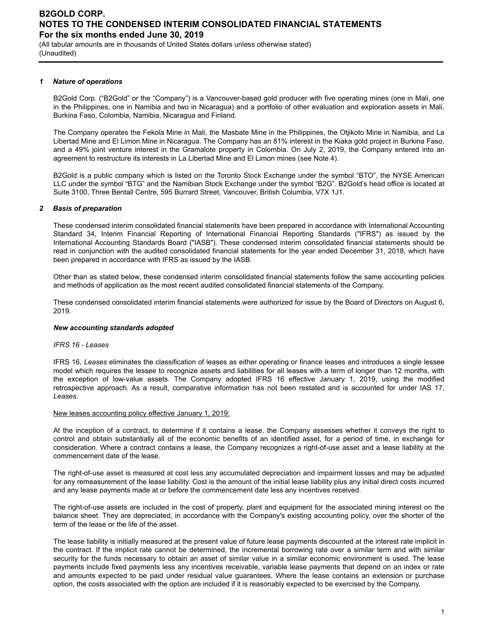(All tabular amounts are in thousands of United States dollars unless otherwise stated) (Unaudited)

#### *1 Nature of operations*

B2Gold Corp. ("B2Gold" or the "Company") is a Vancouver-based gold producer with five operating mines (one in Mali, one in the Philippines, one in Namibia and two in Nicaragua) and a portfolio of other evaluation and exploration assets in Mali, Burkina Faso, Colombia, Namibia, Nicaragua and Finland.

The Company operates the Fekola Mine in Mali, the Masbate Mine in the Philippines, the Otjikoto Mine in Namibia, and La Libertad Mine and El Limon Mine in Nicaragua. The Company has an 81% interest in the Kiaka gold project in Burkina Faso, and a 49% joint venture interest in the Gramalote property in Colombia. On July 2, 2019, the Company entered into an agreement to restructure its interests in La Libertad Mine and El Limon mines (see Note 4).

B2Gold is a public company which is listed on the Toronto Stock Exchange under the symbol "BTO", the NYSE American LLC under the symbol "BTG" and the Namibian Stock Exchange under the symbol "B2G". B2Gold's head office is located at Suite 3100, Three Bentall Centre, 595 Burrard Street, Vancouver, British Columbia, V7X 1J1.

#### *2 Basis of preparation*

These condensed interim consolidated financial statements have been prepared in accordance with International Accounting Standard 34, Interim Financial Reporting of International Financial Reporting Standards ("IFRS") as issued by the International Accounting Standards Board ("IASB"). These condensed interim consolidated financial statements should be read in conjunction with the audited consolidated financial statements for the year ended December 31, 2018, which have been prepared in accordance with IFRS as issued by the IASB.

Other than as stated below, these condensed interim consolidated financial statements follow the same accounting policies and methods of application as the most recent audited consolidated financial statements of the Company.

These condensed consolidated interim financial statements were authorized for issue by the Board of Directors on August 6, 2019.

#### *New accounting standards adopted*

#### *IFRS 16 - Leases*

IFRS 16, *Leases* eliminates the classification of leases as either operating or finance leases and introduces a single lessee model which requires the lessee to recognize assets and liabilities for all leases with a term of longer than 12 months, with the exception of low-value assets. The Company adopted IFRS 16 effective January 1, 2019, using the modified retrospective approach. As a result, comparative information has not been restated and is accounted for under IAS 17, *Leases*.

#### New leases accounting policy effective January 1, 2019:

At the inception of a contract, to determine if it contains a lease, the Company assesses whether it conveys the right to control and obtain substantially all of the economic benefits of an identified asset, for a period of time, in exchange for consideration. Where a contract contains a lease, the Company recognizes a right-of-use asset and a lease liability at the commencement date of the lease.

The right-of-use asset is measured at cost less any accumulated depreciation and impairment losses and may be adjusted for any remeasurement of the lease liability. Cost is the amount of the initial lease liability plus any initial direct costs incurred and any lease payments made at or before the commencement date less any incentives received.

The right-of-use assets are included in the cost of property, plant and equipment for the associated mining interest on the balance sheet. They are depreciated, in accordance with the Company's existing accounting policy, over the shorter of the term of the lease or the life of the asset.

The lease liability is initially measured at the present value of future lease payments discounted at the interest rate implicit in the contract. If the implicit rate cannot be determined, the incremental borrowing rate over a similar term and with similar security for the funds necessary to obtain an asset of similar value in a similar economic environment is used. The lease payments include fixed payments less any incentives receivable, variable lease payments that depend on an index or rate and amounts expected to be paid under residual value guarantees. Where the lease contains an extension or purchase option, the costs associated with the option are included if it is reasonably expected to be exercised by the Company.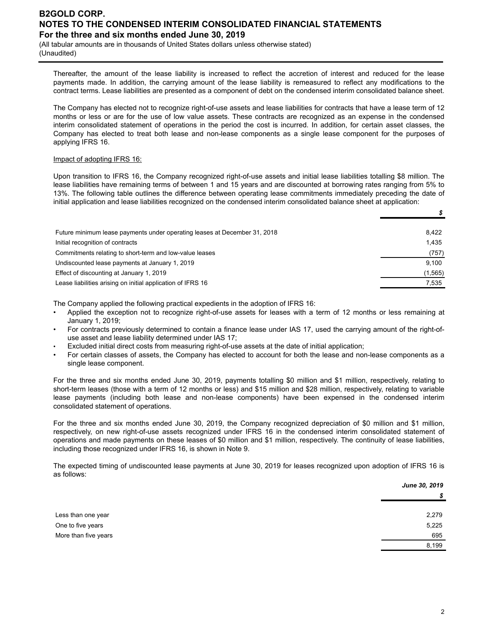(All tabular amounts are in thousands of United States dollars unless otherwise stated) (Unaudited)

Thereafter, the amount of the lease liability is increased to reflect the accretion of interest and reduced for the lease payments made. In addition, the carrying amount of the lease liability is remeasured to reflect any modifications to the contract terms. Lease liabilities are presented as a component of debt on the condensed interim consolidated balance sheet.

The Company has elected not to recognize right-of-use assets and lease liabilities for contracts that have a lease term of 12 months or less or are for the use of low value assets. These contracts are recognized as an expense in the condensed interim consolidated statement of operations in the period the cost is incurred. In addition, for certain asset classes, the Company has elected to treat both lease and non-lease components as a single lease component for the purposes of applying IFRS 16.

### Impact of adopting IFRS 16:

Upon transition to IFRS 16, the Company recognized right-of-use assets and initial lease liabilities totalling \$8 million. The lease liabilities have remaining terms of between 1 and 15 years and are discounted at borrowing rates ranging from 5% to 13%. The following table outlines the difference between operating lease commitments immediately preceding the date of initial application and lease liabilities recognized on the condensed interim consolidated balance sheet at application:

| Future minimum lease payments under operating leases at December 31, 2018 | 8.422    |
|---------------------------------------------------------------------------|----------|
| Initial recognition of contracts                                          | 1.435    |
| Commitments relating to short-term and low-value leases                   | (757)    |
| Undiscounted lease payments at January 1, 2019                            | 9.100    |
| Effect of discounting at January 1, 2019                                  | (1, 565) |
| Lease liabilities arising on initial application of IFRS 16               | 7,535    |
|                                                                           |          |

The Company applied the following practical expedients in the adoption of IFRS 16:

- Applied the exception not to recognize right-of-use assets for leases with a term of 12 months or less remaining at January 1, 2019;
- For contracts previously determined to contain a finance lease under IAS 17, used the carrying amount of the right-ofuse asset and lease liability determined under IAS 17;
- Excluded initial direct costs from measuring right-of-use assets at the date of initial application;
- For certain classes of assets, the Company has elected to account for both the lease and non-lease components as a single lease component.

For the three and six months ended June 30, 2019, payments totalling \$0 million and \$1 million, respectively, relating to short-term leases (those with a term of 12 months or less) and \$15 million and \$28 million, respectively, relating to variable lease payments (including both lease and non-lease components) have been expensed in the condensed interim consolidated statement of operations.

For the three and six months ended June 30, 2019, the Company recognized depreciation of \$0 million and \$1 million, respectively, on new right-of-use assets recognized under IFRS 16 in the condensed interim consolidated statement of operations and made payments on these leases of \$0 million and \$1 million, respectively. The continuity of lease liabilities, including those recognized under IFRS 16, is shown in Note 9.

The expected timing of undiscounted lease payments at June 30, 2019 for leases recognized upon adoption of IFRS 16 is as follows:

|                      | June 30, 2019 |
|----------------------|---------------|
|                      | \$            |
| Less than one year   | 2,279         |
| One to five years    | 5,225         |
| More than five years | 695           |
|                      | 8,199         |

*\$*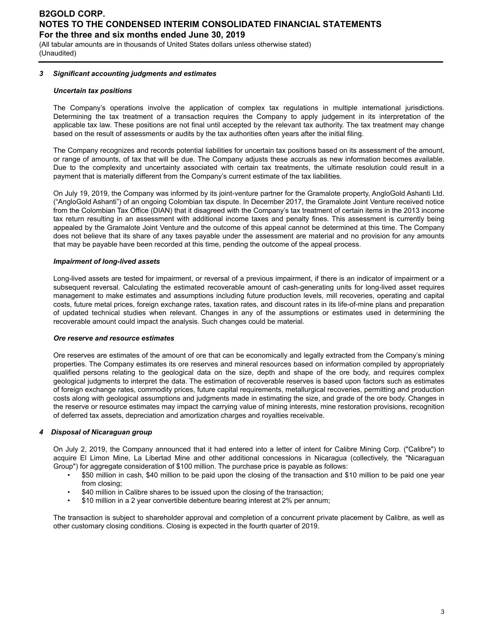(All tabular amounts are in thousands of United States dollars unless otherwise stated) (Unaudited)

#### *3 Significant accounting judgments and estimates*

#### *Uncertain tax positions*

The Company's operations involve the application of complex tax regulations in multiple international jurisdictions. Determining the tax treatment of a transaction requires the Company to apply judgement in its interpretation of the applicable tax law. These positions are not final until accepted by the relevant tax authority. The tax treatment may change based on the result of assessments or audits by the tax authorities often years after the initial filing.

The Company recognizes and records potential liabilities for uncertain tax positions based on its assessment of the amount, or range of amounts, of tax that will be due. The Company adjusts these accruals as new information becomes available. Due to the complexity and uncertainty associated with certain tax treatments, the ultimate resolution could result in a payment that is materially different from the Company's current estimate of the tax liabilities.

On July 19, 2019, the Company was informed by its joint-venture partner for the Gramalote property, AngloGold Ashanti Ltd. ("AngloGold Ashanti") of an ongoing Colombian tax dispute. In December 2017, the Gramalote Joint Venture received notice from the Colombian Tax Office (DIAN) that it disagreed with the Company's tax treatment of certain items in the 2013 income tax return resulting in an assessment with additional income taxes and penalty fines. This assessment is currently being appealed by the Gramalote Joint Venture and the outcome of this appeal cannot be determined at this time. The Company does not believe that its share of any taxes payable under the assessment are material and no provision for any amounts that may be payable have been recorded at this time, pending the outcome of the appeal process.

#### *Impairment of long-lived assets*

Long-lived assets are tested for impairment, or reversal of a previous impairment, if there is an indicator of impairment or a subsequent reversal. Calculating the estimated recoverable amount of cash-generating units for long-lived asset requires management to make estimates and assumptions including future production levels, mill recoveries, operating and capital costs, future metal prices, foreign exchange rates, taxation rates, and discount rates in its life-of-mine plans and preparation of updated technical studies when relevant. Changes in any of the assumptions or estimates used in determining the recoverable amount could impact the analysis. Such changes could be material.

#### *Ore reserve and resource estimates*

Ore reserves are estimates of the amount of ore that can be economically and legally extracted from the Company's mining properties. The Company estimates its ore reserves and mineral resources based on information compiled by appropriately qualified persons relating to the geological data on the size, depth and shape of the ore body, and requires complex geological judgments to interpret the data. The estimation of recoverable reserves is based upon factors such as estimates of foreign exchange rates, commodity prices, future capital requirements, metallurgical recoveries, permitting and production costs along with geological assumptions and judgments made in estimating the size, and grade of the ore body. Changes in the reserve or resource estimates may impact the carrying value of mining interests, mine restoration provisions, recognition of deferred tax assets, depreciation and amortization charges and royalties receivable.

#### *4 Disposal of Nicaraguan group*

On July 2, 2019, the Company announced that it had entered into a letter of intent for Calibre Mining Corp. ("Calibre") to acquire El Limon Mine, La Libertad Mine and other additional concessions in Nicaragua (collectively, the "Nicaraguan Group") for aggregate consideration of \$100 million. The purchase price is payable as follows:

- \$50 million in cash, \$40 million to be paid upon the closing of the transaction and \$10 million to be paid one year from closing;
- \$40 million in Calibre shares to be issued upon the closing of the transaction;
- \$10 million in a 2 year convertible debenture bearing interest at 2% per annum;

The transaction is subject to shareholder approval and completion of a concurrent private placement by Calibre, as well as other customary closing conditions. Closing is expected in the fourth quarter of 2019.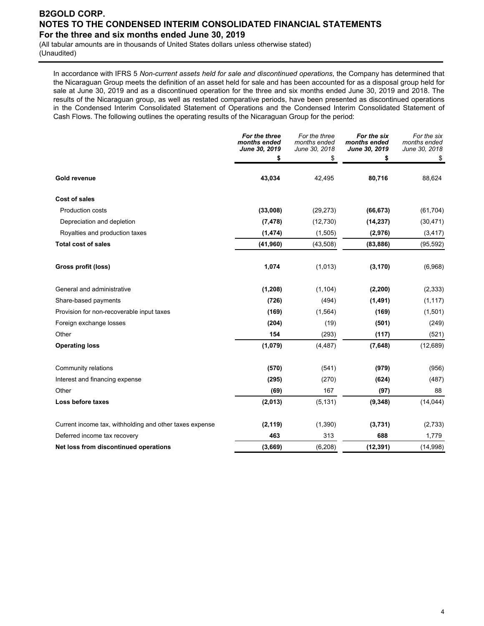(All tabular amounts are in thousands of United States dollars unless otherwise stated) (Unaudited)

In accordance with IFRS 5 *Non-current assets held for sale and discontinued operations*, the Company has determined that the Nicaraguan Group meets the definition of an asset held for sale and has been accounted for as a disposal group held for sale at June 30, 2019 and as a discontinued operation for the three and six months ended June 30, 2019 and 2018. The results of the Nicaraguan group, as well as restated comparative periods, have been presented as discontinued operations in the Condensed Interim Consolidated Statement of Operations and the Condensed Interim Consolidated Statement of Cash Flows. The following outlines the operating results of the Nicaraguan Group for the period:

|                                                         | For the three<br>months ended | For the three<br>months ended | For the six<br>months ended | For the six<br>months ended |
|---------------------------------------------------------|-------------------------------|-------------------------------|-----------------------------|-----------------------------|
|                                                         | June 30, 2019<br>\$           | June 30, 2018<br>\$           | June 30, 2019<br>\$         | June 30, 2018<br>\$         |
| <b>Gold revenue</b>                                     | 43,034                        | 42,495                        | 80,716                      | 88,624                      |
| <b>Cost of sales</b>                                    |                               |                               |                             |                             |
| <b>Production costs</b>                                 | (33,008)                      | (29, 273)                     | (66, 673)                   | (61, 704)                   |
| Depreciation and depletion                              | (7, 478)                      | (12,730)                      | (14, 237)                   | (30, 471)                   |
| Royalties and production taxes                          | (1, 474)                      | (1,505)                       | (2,976)                     | (3, 417)                    |
| <b>Total cost of sales</b>                              | (41, 960)                     | (43,508)                      | (83, 886)                   | (95, 592)                   |
| Gross profit (loss)                                     | 1,074                         | (1,013)                       | (3, 170)                    | (6,968)                     |
| General and administrative                              | (1, 208)                      | (1, 104)                      | (2, 200)                    | (2, 333)                    |
| Share-based payments                                    | (726)                         | (494)                         | (1, 491)                    | (1, 117)                    |
| Provision for non-recoverable input taxes               | (169)                         | (1, 564)                      | (169)                       | (1,501)                     |
| Foreign exchange losses                                 | (204)                         | (19)                          | (501)                       | (249)                       |
| Other                                                   | 154                           | (293)                         | (117)                       | (521)                       |
| <b>Operating loss</b>                                   | (1,079)                       | (4, 487)                      | (7,648)                     | (12,689)                    |
| Community relations                                     | (570)                         | (541)                         | (979)                       | (956)                       |
| Interest and financing expense                          | (295)                         | (270)                         | (624)                       | (487)                       |
| Other                                                   | (69)                          | 167                           | (97)                        | 88                          |
| Loss before taxes                                       | (2,013)                       | (5, 131)                      | (9, 348)                    | (14, 044)                   |
| Current income tax, withholding and other taxes expense | (2, 119)                      | (1,390)                       | (3,731)                     | (2,733)                     |
| Deferred income tax recovery                            | 463                           | 313                           | 688                         | 1,779                       |
| Net loss from discontinued operations                   | (3,669)                       | (6, 208)                      | (12, 391)                   | (14,998)                    |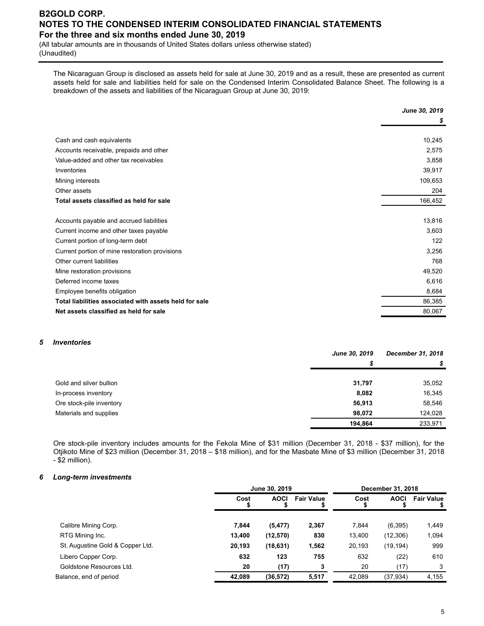(All tabular amounts are in thousands of United States dollars unless otherwise stated) (Unaudited)

The Nicaraguan Group is disclosed as assets held for sale at June 30, 2019 and as a result, these are presented as current assets held for sale and liabilities held for sale on the Condensed Interim Consolidated Balance Sheet. The following is a breakdown of the assets and liabilities of the Nicaraguan Group at June 30, 2019:

|                                                        | June 30, 2019 |
|--------------------------------------------------------|---------------|
|                                                        | S             |
|                                                        |               |
| Cash and cash equivalents                              | 10,245        |
| Accounts receivable, prepaids and other                | 2,575         |
| Value-added and other tax receivables                  | 3,858         |
| Inventories                                            | 39,917        |
| Mining interests                                       | 109,653       |
| Other assets                                           | 204           |
| Total assets classified as held for sale               | 166,452       |
|                                                        |               |
| Accounts payable and accrued liabilities               | 13,816        |
| Current income and other taxes payable                 | 3,603         |
| Current portion of long-term debt                      | 122           |
| Current portion of mine restoration provisions         | 3,256         |
| Other current liabilities                              | 768           |
| Mine restoration provisions                            | 49,520        |
| Deferred income taxes                                  | 6,616         |
| Employee benefits obligation                           | 8,684         |
| Total liabilities associated with assets held for sale | 86,385        |
| Net assets classified as held for sale                 | 80,067        |

#### *5 Inventories*

|                          | June 30, 2019 | December 31, 2018 |
|--------------------------|---------------|-------------------|
|                          | S             | S                 |
|                          |               |                   |
| Gold and silver bullion  | 31,797        | 35,052            |
| In-process inventory     | 8,082         | 16,345            |
| Ore stock-pile inventory | 56,913        | 58,546            |
| Materials and supplies   | 98.072        | 124,028           |
|                          | 194.864       | 233.971           |

Ore stock-pile inventory includes amounts for the Fekola Mine of \$31 million (December 31, 2018 - \$37 million), for the Otjikoto Mine of \$23 million (December 31, 2018 – \$18 million), and for the Masbate Mine of \$3 million (December 31, 2018 - \$2 million).

#### *6 Long-term investments*

|                                  | June 30, 2019 | December 31, 2018 |                   |        |             |                   |
|----------------------------------|---------------|-------------------|-------------------|--------|-------------|-------------------|
|                                  | Cost          | <b>AOCI</b>       | <b>Fair Value</b> | Cost   | <b>AOCI</b> | <b>Fair Value</b> |
| Calibre Mining Corp.             | 7,844         | (5, 477)          | 2,367             | 7.844  | (6, 395)    | 1,449             |
| RTG Mining Inc.                  | 13,400        | (12, 570)         | 830               | 13,400 | (12,306)    | 1,094             |
| St. Augustine Gold & Copper Ltd. | 20,193        | (18,631)          | 1,562             | 20,193 | (19, 194)   | 999               |
| Libero Copper Corp.              | 632           | 123               | 755               | 632    | (22)        | 610               |
| Goldstone Resources Ltd.         | 20            | (17)              |                   | 20     | (17)        | 3                 |
| Balance, end of period           | 42,089        | (36, 572)         | 5,517             | 42,089 | (37, 934)   | 4,155             |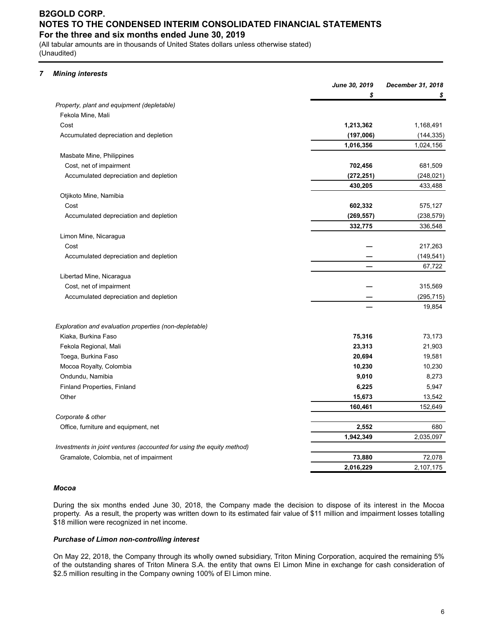(All tabular amounts are in thousands of United States dollars unless otherwise stated) (Unaudited)

### *7 Mining interests*

|                                                                       | June 30, 2019 | December 31, 2018 |
|-----------------------------------------------------------------------|---------------|-------------------|
|                                                                       | \$            |                   |
| Property, plant and equipment (depletable)                            |               |                   |
| Fekola Mine, Mali                                                     |               |                   |
| Cost                                                                  | 1,213,362     | 1,168,491         |
| Accumulated depreciation and depletion                                | (197,006)     | (144, 335)        |
|                                                                       | 1,016,356     | 1,024,156         |
| Masbate Mine, Philippines                                             |               |                   |
| Cost, net of impairment                                               | 702,456       | 681,509           |
| Accumulated depreciation and depletion                                | (272, 251)    | (248, 021)        |
|                                                                       | 430,205       | 433,488           |
| Otjikoto Mine, Namibia                                                |               |                   |
| Cost                                                                  | 602,332       | 575,127           |
| Accumulated depreciation and depletion                                | (269, 557)    | (238, 579)        |
|                                                                       | 332,775       | 336,548           |
| Limon Mine, Nicaragua                                                 |               |                   |
| Cost                                                                  |               | 217,263           |
| Accumulated depreciation and depletion                                |               | (149, 541)        |
|                                                                       |               | 67,722            |
| Libertad Mine, Nicaragua                                              |               |                   |
| Cost, net of impairment                                               |               | 315,569           |
| Accumulated depreciation and depletion                                |               | (295, 715)        |
|                                                                       |               | 19,854            |
| Exploration and evaluation properties (non-depletable)                |               |                   |
| Kiaka, Burkina Faso                                                   | 75,316        | 73,173            |
| Fekola Regional, Mali                                                 | 23,313        | 21,903            |
| Toega, Burkina Faso                                                   | 20,694        | 19,581            |
| Mocoa Royalty, Colombia                                               | 10,230        | 10,230            |
| Ondundu, Namibia                                                      | 9,010         | 8,273             |
| Finland Properties, Finland                                           | 6,225         | 5,947             |
| Other                                                                 | 15,673        | 13,542            |
|                                                                       | 160,461       | 152,649           |
| Corporate & other                                                     |               |                   |
| Office, furniture and equipment, net                                  | 2,552         | 680               |
|                                                                       | 1,942,349     | 2,035,097         |
| Investments in joint ventures (accounted for using the equity method) |               |                   |
| Gramalote, Colombia, net of impairment                                | 73,880        | 72,078            |
|                                                                       | 2,016,229     | 2,107,175         |

#### *Mocoa*

During the six months ended June 30, 2018, the Company made the decision to dispose of its interest in the Mocoa property. As a result, the property was written down to its estimated fair value of \$11 million and impairment losses totalling \$18 million were recognized in net income.

#### *Purchase of Limon non-controlling interest*

On May 22, 2018, the Company through its wholly owned subsidiary, Triton Mining Corporation, acquired the remaining 5% of the outstanding shares of Triton Minera S.A. the entity that owns El Limon Mine in exchange for cash consideration of \$2.5 million resulting in the Company owning 100% of El Limon mine.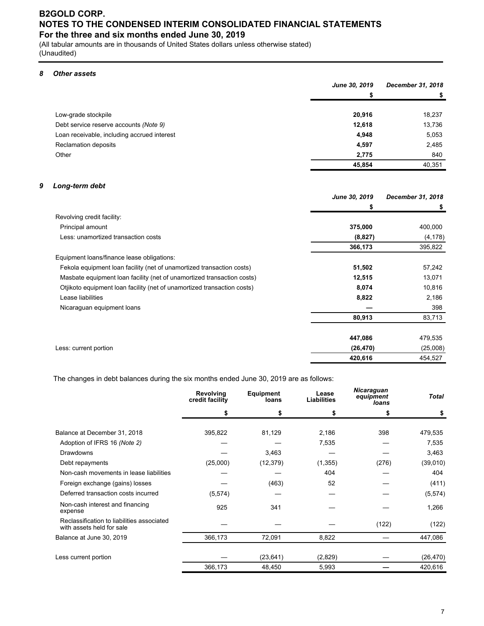(All tabular amounts are in thousands of United States dollars unless otherwise stated) (Unaudited)

### *8 Other assets*

|                                             | June 30, 2019 | December 31, 2018 |
|---------------------------------------------|---------------|-------------------|
|                                             | S             | \$                |
|                                             |               |                   |
| Low-grade stockpile                         | 20,916        | 18,237            |
| Debt service reserve accounts (Note 9)      | 12,618        | 13,736            |
| Loan receivable, including accrued interest | 4,948         | 5,053             |
| Reclamation deposits                        | 4,597         | 2,485             |
| Other                                       | 2,775         | 840               |
|                                             | 45,854        | 40,351            |

#### *9 Long-term debt*

|                                                                         | June 30, 2019 | December 31, 2018 |
|-------------------------------------------------------------------------|---------------|-------------------|
|                                                                         |               | \$                |
| Revolving credit facility:                                              |               |                   |
| Principal amount                                                        | 375,000       | 400,000           |
| Less: unamortized transaction costs                                     | (8, 827)      | (4, 178)          |
|                                                                         | 366,173       | 395,822           |
| Equipment loans/finance lease obligations:                              |               |                   |
| Fekola equipment loan facility (net of unamortized transaction costs)   | 51,502        | 57,242            |
| Masbate equipment loan facility (net of unamortized transaction costs)  | 12,515        | 13,071            |
| Otjikoto equipment loan facility (net of unamortized transaction costs) | 8,074         | 10,816            |
| Lease liabilities                                                       | 8,822         | 2,186             |
| Nicaraguan equipment loans                                              |               | 398               |
|                                                                         | 80,913        | 83,713            |
|                                                                         | 447,086       | 479,535           |
| Less: current portion                                                   | (26, 470)     | (25,008)          |
|                                                                         | 420,616       | 454,527           |

The changes in debt balances during the six months ended June 30, 2019 are as follows:

|                                                                         | Revolving<br>credit facility | <b>Equipment</b><br>loans | Lease<br><b>Liabilities</b> | <b>Nicaraguan</b><br>equipment<br>loans | <b>Total</b> |
|-------------------------------------------------------------------------|------------------------------|---------------------------|-----------------------------|-----------------------------------------|--------------|
|                                                                         | S                            | 5                         |                             |                                         | \$           |
| Balance at December 31, 2018                                            | 395,822                      | 81,129                    | 2,186                       | 398                                     | 479,535      |
| Adoption of IFRS 16 (Note 2)                                            |                              |                           | 7,535                       |                                         | 7,535        |
| <b>Drawdowns</b>                                                        |                              | 3,463                     |                             |                                         | 3,463        |
| Debt repayments                                                         | (25,000)                     | (12, 379)                 | (1, 355)                    | (276)                                   | (39,010)     |
| Non-cash movements in lease liabilities                                 |                              |                           | 404                         |                                         | 404          |
| Foreign exchange (gains) losses                                         |                              | (463)                     | 52                          |                                         | (411)        |
| Deferred transaction costs incurred                                     | (5, 574)                     |                           |                             |                                         | (5, 574)     |
| Non-cash interest and financing<br>expense                              | 925                          | 341                       |                             |                                         | 1,266        |
| Reclassification to liabilities associated<br>with assets held for sale |                              |                           |                             | (122)                                   | (122)        |
| Balance at June 30, 2019                                                | 366,173                      | 72,091                    | 8,822                       |                                         | 447,086      |
| Less current portion                                                    |                              | (23, 641)                 | (2,829)                     |                                         | (26, 470)    |
|                                                                         | 366,173                      | 48,450                    | 5,993                       |                                         | 420,616      |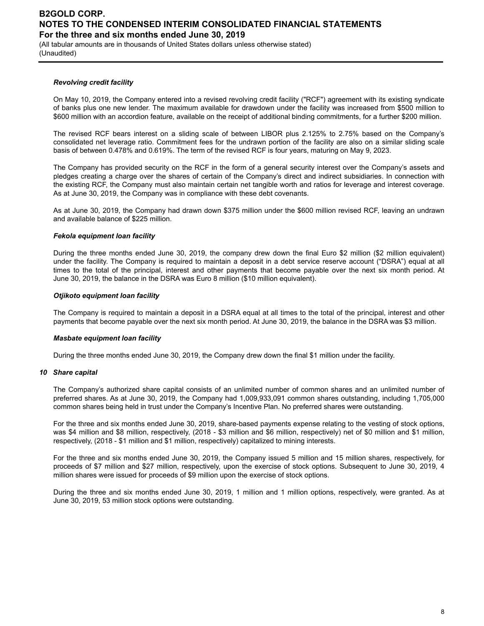(All tabular amounts are in thousands of United States dollars unless otherwise stated) (Unaudited)

#### *Revolving credit facility*

On May 10, 2019, the Company entered into a revised revolving credit facility ("RCF") agreement with its existing syndicate of banks plus one new lender. The maximum available for drawdown under the facility was increased from \$500 million to \$600 million with an accordion feature, available on the receipt of additional binding commitments, for a further \$200 million.

The revised RCF bears interest on a sliding scale of between LIBOR plus 2.125% to 2.75% based on the Company's consolidated net leverage ratio. Commitment fees for the undrawn portion of the facility are also on a similar sliding scale basis of between 0.478% and 0.619%. The term of the revised RCF is four years, maturing on May 9, 2023.

The Company has provided security on the RCF in the form of a general security interest over the Company's assets and pledges creating a charge over the shares of certain of the Company's direct and indirect subsidiaries. In connection with the existing RCF, the Company must also maintain certain net tangible worth and ratios for leverage and interest coverage. As at June 30, 2019, the Company was in compliance with these debt covenants.

As at June 30, 2019, the Company had drawn down \$375 million under the \$600 million revised RCF, leaving an undrawn and available balance of \$225 million.

#### *Fekola equipment loan facility*

During the three months ended June 30, 2019, the company drew down the final Euro \$2 million (\$2 million equivalent) under the facility. The Company is required to maintain a deposit in a debt service reserve account ("DSRA") equal at all times to the total of the principal, interest and other payments that become payable over the next six month period. At June 30, 2019, the balance in the DSRA was Euro 8 million (\$10 million equivalent).

#### *Otjikoto equipment loan facility*

The Company is required to maintain a deposit in a DSRA equal at all times to the total of the principal, interest and other payments that become payable over the next six month period. At June 30, 2019, the balance in the DSRA was \$3 million.

#### *Masbate equipment loan facility*

During the three months ended June 30, 2019, the Company drew down the final \$1 million under the facility.

#### *10 Share capital*

The Company's authorized share capital consists of an unlimited number of common shares and an unlimited number of preferred shares. As at June 30, 2019, the Company had 1,009,933,091 common shares outstanding, including 1,705,000 common shares being held in trust under the Company's Incentive Plan. No preferred shares were outstanding.

For the three and six months ended June 30, 2019, share-based payments expense relating to the vesting of stock options, was \$4 million and \$8 million, respectively, (2018 - \$3 million and \$6 million, respectively) net of \$0 million and \$1 million, respectively, (2018 - \$1 million and \$1 million, respectively) capitalized to mining interests.

For the three and six months ended June 30, 2019, the Company issued 5 million and 15 million shares, respectively, for proceeds of \$7 million and \$27 million, respectively, upon the exercise of stock options. Subsequent to June 30, 2019, 4 million shares were issued for proceeds of \$9 million upon the exercise of stock options.

During the three and six months ended June 30, 2019, 1 million and 1 million options, respectively, were granted. As at June 30, 2019, 53 million stock options were outstanding.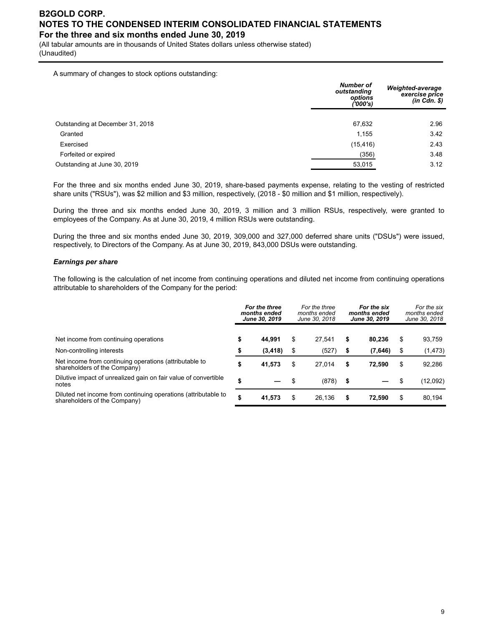(All tabular amounts are in thousands of United States dollars unless otherwise stated) (Unaudited)

A summary of changes to stock options outstanding:

|                                  | <b>Number of</b><br>outstanding<br>options<br>''000's) | Weighted-average<br>exercise price<br>$(in$ $Cdn.$ $\$ |
|----------------------------------|--------------------------------------------------------|--------------------------------------------------------|
|                                  |                                                        |                                                        |
| Outstanding at December 31, 2018 | 67,632                                                 | 2.96                                                   |
| Granted                          | 1.155                                                  | 3.42                                                   |
| Exercised                        | (15, 416)                                              | 2.43                                                   |
| Forfeited or expired             | (356)                                                  | 3.48                                                   |
| Outstanding at June 30, 2019     | 53,015                                                 | 3.12                                                   |
|                                  |                                                        |                                                        |

For the three and six months ended June 30, 2019, share-based payments expense, relating to the vesting of restricted share units ("RSUs"), was \$2 million and \$3 million, respectively, (2018 - \$0 million and \$1 million, respectively).

During the three and six months ended June 30, 2019, 3 million and 3 million RSUs, respectively, were granted to employees of the Company. As at June 30, 2019, 4 million RSUs were outstanding.

During the three and six months ended June 30, 2019, 309,000 and 327,000 deferred share units ("DSUs") were issued, respectively, to Directors of the Company. As at June 30, 2019, 843,000 DSUs were outstanding.

#### *Earnings per share*

The following is the calculation of net income from continuing operations and diluted net income from continuing operations attributable to shareholders of the Company for the period:

|                                                                                                | For the three<br>months ended<br>June 30, 2019 |          | For the three<br>months ended<br>June 30, 2018 |        | For the six<br>months ended<br>June 30, 2019 |         | For the six<br>months ended<br>June 30, 2018 |          |
|------------------------------------------------------------------------------------------------|------------------------------------------------|----------|------------------------------------------------|--------|----------------------------------------------|---------|----------------------------------------------|----------|
| Net income from continuing operations                                                          | \$                                             | 44.991   | \$                                             | 27.541 | \$                                           | 80.236  | \$                                           | 93,759   |
| Non-controlling interests                                                                      | \$                                             | (3, 418) | \$                                             | (527)  | \$                                           | (7,646) | -\$                                          | (1, 473) |
| Net income from continuing operations (attributable to<br>shareholders of the Company)         | \$                                             | 41,573   | \$                                             | 27.014 | \$                                           | 72.590  | \$                                           | 92,286   |
| Dilutive impact of unrealized gain on fair value of convertible<br>notes                       | \$                                             |          |                                                | (878)  | - \$                                         |         | -\$                                          | (12,092) |
| Diluted net income from continuing operations (attributable to<br>shareholders of the Company) | \$                                             | 41.573   | \$                                             | 26.136 | \$                                           | 72.590  | S                                            | 80,194   |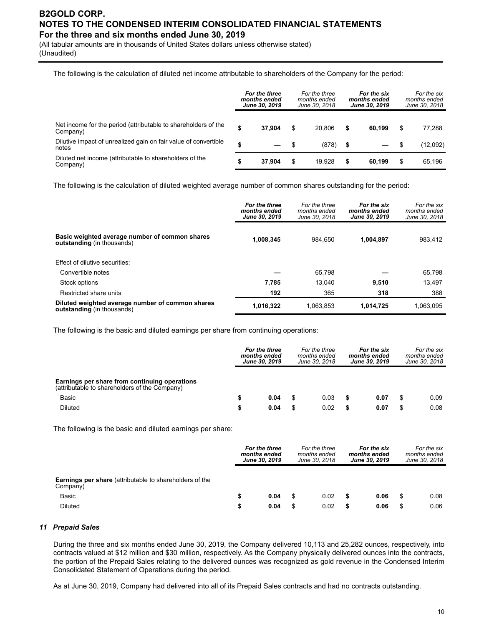(All tabular amounts are in thousands of United States dollars unless otherwise stated) (Unaudited)

The following is the calculation of diluted net income attributable to shareholders of the Company for the period:

|                                                                            | For the three<br>months ended<br><b>June 30, 2019</b> |        | For the three<br>For the six<br>months ended<br>months ended<br>June 30, 2018<br>June 30, 2019 |        |      |        | For the six<br>months ended<br>June 30, 2018 |          |
|----------------------------------------------------------------------------|-------------------------------------------------------|--------|------------------------------------------------------------------------------------------------|--------|------|--------|----------------------------------------------|----------|
| Net income for the period (attributable to shareholders of the<br>Company) |                                                       | 37.904 | \$                                                                                             | 20.806 | \$   | 60.199 | \$                                           | 77,288   |
| Dilutive impact of unrealized gain on fair value of convertible<br>notes   | S                                                     |        | - \$                                                                                           | (878)  | - \$ |        | - \$                                         | (12,092) |
| Diluted net income (attributable to shareholders of the<br>Company)        | \$                                                    | 37.904 | \$                                                                                             | 19.928 | \$   | 60.199 | \$                                           | 65.196   |

The following is the calculation of diluted weighted average number of common shares outstanding for the period:

|                                                                                     | For the three<br>months ended<br>June 30, 2019 | For the three<br>months ended<br>June 30, 2018 | For the six<br>months ended<br>June 30, 2019 | For the six<br>months ended<br>June 30, 2018 |
|-------------------------------------------------------------------------------------|------------------------------------------------|------------------------------------------------|----------------------------------------------|----------------------------------------------|
| Basic weighted average number of common shares<br><b>outstanding</b> (in thousands) | 1,008,345                                      | 984.650                                        | 1,004,897                                    | 983.412                                      |
| Effect of dilutive securities:                                                      |                                                |                                                |                                              |                                              |
| Convertible notes                                                                   |                                                | 65.798                                         |                                              | 65.798                                       |
| Stock options                                                                       | 7.785                                          | 13.040                                         | 9,510                                        | 13.497                                       |
| Restricted share units                                                              | 192                                            | 365                                            | 318                                          | 388                                          |
| Diluted weighted average number of common shares<br>outstanding (in thousands)      | 1,016,322                                      | 1.063.853                                      | 1,014,725                                    | 1.063.095                                    |

The following is the basic and diluted earnings per share from continuing operations:

|                                                                                                | For the three<br>months ended<br>June 30, 2019 |      |    | For the three<br>months ended<br>June 30, 2018 |   | For the six<br>months ended<br>June 30, 2019 |   | For the six<br>months ended<br>June 30, 2018 |
|------------------------------------------------------------------------------------------------|------------------------------------------------|------|----|------------------------------------------------|---|----------------------------------------------|---|----------------------------------------------|
| Earnings per share from continuing operations<br>(attributable to shareholders of the Company) |                                                |      |    |                                                |   |                                              |   |                                              |
| Basic                                                                                          |                                                | 0.04 | \$ | 0.03                                           |   | 0.07                                         |   | 0.09                                         |
| Diluted                                                                                        |                                                | 0.04 | S  | 0.02                                           | S | 0.07                                         | S | 0.08                                         |

The following is the basic and diluted earnings per share:

|                                                                            | For the three<br>months ended<br>June 30, 2019 |      | For the three<br>For the six<br>months ended<br>months ended<br>June 30, 2018<br>June 30, 2019 |      |   |      | For the six<br>months ended<br>June 30, 2018 |
|----------------------------------------------------------------------------|------------------------------------------------|------|------------------------------------------------------------------------------------------------|------|---|------|----------------------------------------------|
| <b>Earnings per share</b> (attributable to shareholders of the<br>Company) |                                                |      |                                                                                                |      |   |      |                                              |
| Basic                                                                      |                                                | 0.04 |                                                                                                | 0.02 |   | 0.06 | \$<br>0.08                                   |
| <b>Diluted</b>                                                             | S                                              | 0.04 |                                                                                                | 0.02 | S | 0.06 | \$<br>0.06                                   |

#### *11 Prepaid Sales*

During the three and six months ended June 30, 2019, the Company delivered 10,113 and 25,282 ounces, respectively, into contracts valued at \$12 million and \$30 million, respectively. As the Company physically delivered ounces into the contracts, the portion of the Prepaid Sales relating to the delivered ounces was recognized as gold revenue in the Condensed Interim Consolidated Statement of Operations during the period.

As at June 30, 2019, Company had delivered into all of its Prepaid Sales contracts and had no contracts outstanding.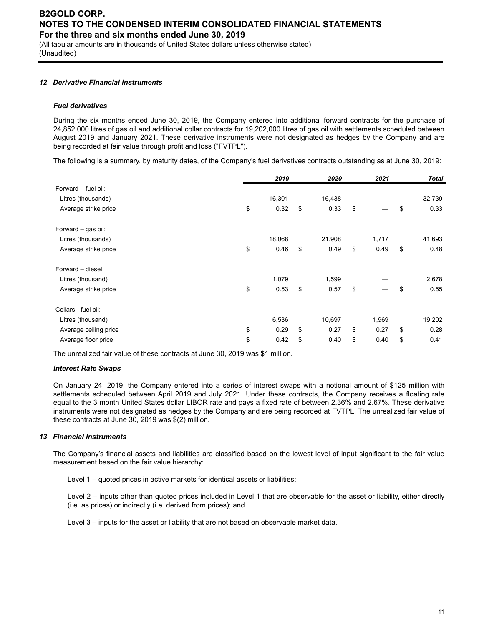(All tabular amounts are in thousands of United States dollars unless otherwise stated) (Unaudited)

#### *12 Derivative Financial instruments*

#### *Fuel derivatives*

During the six months ended June 30, 2019, the Company entered into additional forward contracts for the purchase of 24,852,000 litres of gas oil and additional collar contracts for 19,202,000 litres of gas oil with settlements scheduled between August 2019 and January 2021. These derivative instruments were not designated as hedges by the Company and are being recorded at fair value through profit and loss ("FVTPL").

The following is a summary, by maturity dates, of the Company's fuel derivatives contracts outstanding as at June 30, 2019:

|                       | 2019       | 2020       | 2021       | Total      |
|-----------------------|------------|------------|------------|------------|
| Forward - fuel oil:   |            |            |            |            |
| Litres (thousands)    | 16,301     | 16,438     |            | 32,739     |
| Average strike price  | \$<br>0.32 | \$<br>0.33 | \$         | \$<br>0.33 |
| Forward – gas oil:    |            |            |            |            |
| Litres (thousands)    | 18,068     | 21,908     | 1,717      | 41,693     |
| Average strike price  | \$<br>0.46 | \$<br>0.49 | \$<br>0.49 | \$<br>0.48 |
| Forward - diesel:     |            |            |            |            |
| Litres (thousand)     | 1,079      | 1,599      |            | 2,678      |
| Average strike price  | \$<br>0.53 | \$<br>0.57 | \$         | \$<br>0.55 |
| Collars - fuel oil:   |            |            |            |            |
| Litres (thousand)     | 6,536      | 10,697     | 1,969      | 19,202     |
| Average ceiling price | \$<br>0.29 | \$<br>0.27 | \$<br>0.27 | \$<br>0.28 |
| Average floor price   | \$<br>0.42 | \$<br>0.40 | \$<br>0.40 | \$<br>0.41 |

The unrealized fair value of these contracts at June 30, 2019 was \$1 million.

#### *Interest Rate Swaps*

On January 24, 2019, the Company entered into a series of interest swaps with a notional amount of \$125 million with settlements scheduled between April 2019 and July 2021. Under these contracts, the Company receives a floating rate equal to the 3 month United States dollar LIBOR rate and pays a fixed rate of between 2.36% and 2.67%. These derivative instruments were not designated as hedges by the Company and are being recorded at FVTPL. The unrealized fair value of these contracts at June 30, 2019 was \$(2) million.

#### *13 Financial Instruments*

The Company's financial assets and liabilities are classified based on the lowest level of input significant to the fair value measurement based on the fair value hierarchy:

Level 1 – quoted prices in active markets for identical assets or liabilities;

Level 2 – inputs other than quoted prices included in Level 1 that are observable for the asset or liability, either directly (i.e. as prices) or indirectly (i.e. derived from prices); and

Level 3 – inputs for the asset or liability that are not based on observable market data.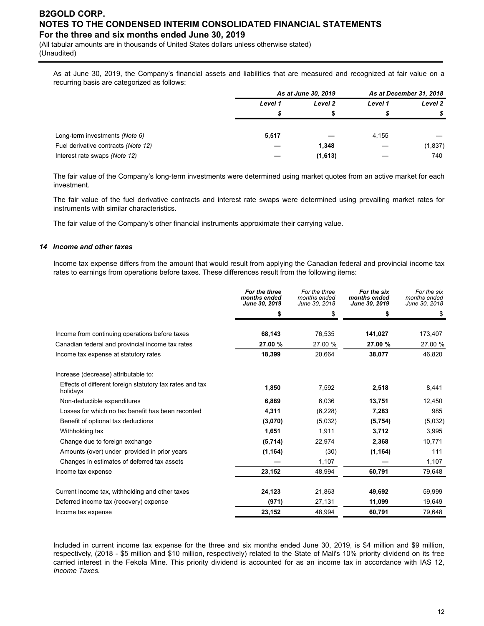(All tabular amounts are in thousands of United States dollars unless otherwise stated) (Unaudited)

As at June 30, 2019, the Company's financial assets and liabilities that are measured and recognized at fair value on a recurring basis are categorized as follows:

|                                     | As at June 30, 2019 |         |         | As at December 31, 2018 |
|-------------------------------------|---------------------|---------|---------|-------------------------|
|                                     | Level 1             | Level 2 | Level 1 | Level 2                 |
|                                     |                     |         |         |                         |
|                                     |                     |         |         |                         |
| Long-term investments (Note 6)      | 5,517               |         | 4,155   |                         |
| Fuel derivative contracts (Note 12) |                     | 1,348   |         | (1,837)                 |
| Interest rate swaps (Note 12)       |                     | (1,613) |         | 740                     |

The fair value of the Company's long-term investments were determined using market quotes from an active market for each investment.

The fair value of the fuel derivative contracts and interest rate swaps were determined using prevailing market rates for instruments with similar characteristics.

The fair value of the Company's other financial instruments approximate their carrying value.

#### *14 Income and other taxes*

Income tax expense differs from the amount that would result from applying the Canadian federal and provincial income tax rates to earnings from operations before taxes. These differences result from the following items:

|                                                                      | For the three<br>months ended<br>June 30, 2019 | For the three<br>months ended<br>June 30, 2018 | For the six<br>months ended<br>June 30, 2019 | For the six<br>months ended<br>June 30, 2018 |
|----------------------------------------------------------------------|------------------------------------------------|------------------------------------------------|----------------------------------------------|----------------------------------------------|
|                                                                      | \$                                             | \$                                             | \$                                           | \$                                           |
|                                                                      |                                                |                                                |                                              |                                              |
| Income from continuing operations before taxes                       | 68,143                                         | 76,535                                         | 141,027                                      | 173,407                                      |
| Canadian federal and provincial income tax rates                     | 27.00 %                                        | 27.00 %                                        | 27.00 %                                      | 27.00 %                                      |
| Income tax expense at statutory rates                                | 18,399                                         | 20,664                                         | 38,077                                       | 46,820                                       |
| Increase (decrease) attributable to:                                 |                                                |                                                |                                              |                                              |
| Effects of different foreign statutory tax rates and tax<br>holidays | 1,850                                          | 7,592                                          | 2,518                                        | 8,441                                        |
| Non-deductible expenditures                                          | 6,889                                          | 6,036                                          | 13,751                                       | 12,450                                       |
| Losses for which no tax benefit has been recorded                    | 4,311                                          | (6, 228)                                       | 7,283                                        | 985                                          |
| Benefit of optional tax deductions                                   | (3,070)                                        | (5,032)                                        | (5,754)                                      | (5,032)                                      |
| Withholding tax                                                      | 1,651                                          | 1,911                                          | 3,712                                        | 3,995                                        |
| Change due to foreign exchange                                       | (5,714)                                        | 22,974                                         | 2,368                                        | 10,771                                       |
| Amounts (over) under provided in prior years                         | (1, 164)                                       | (30)                                           | (1, 164)                                     | 111                                          |
| Changes in estimates of deferred tax assets                          |                                                | 1,107                                          |                                              | 1,107                                        |
| Income tax expense                                                   | 23,152                                         | 48,994                                         | 60,791                                       | 79,648                                       |
| Current income tax, withholding and other taxes                      | 24,123                                         | 21,863                                         | 49,692                                       | 59,999                                       |
| Deferred income tax (recovery) expense                               | (971)                                          | 27,131                                         | 11,099                                       | 19,649                                       |
| Income tax expense                                                   | 23,152                                         | 48,994                                         | 60,791                                       | 79,648                                       |

Included in current income tax expense for the three and six months ended June 30, 2019, is \$4 million and \$9 million, respectively, (2018 - \$5 million and \$10 million, respectively) related to the State of Mali's 10% priority dividend on its free carried interest in the Fekola Mine. This priority dividend is accounted for as an income tax in accordance with IAS 12, *Income Taxes.*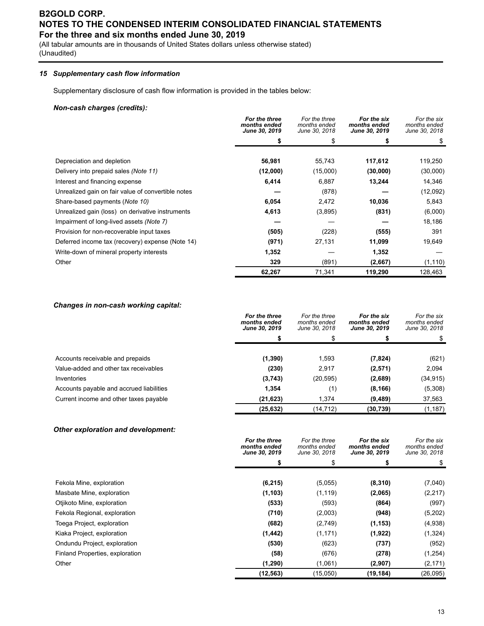(All tabular amounts are in thousands of United States dollars unless otherwise stated) (Unaudited)

### *15 Supplementary cash flow information*

Supplementary disclosure of cash flow information is provided in the tables below:

### *Non-cash charges (credits):*

|                                                    | For the three<br>months ended<br>June 30, 2019 | For the three<br>months ended<br>June 30, 2018 | For the six<br>months ended<br>June 30, 2019 | For the six<br>months ended<br>June 30, 2018 |
|----------------------------------------------------|------------------------------------------------|------------------------------------------------|----------------------------------------------|----------------------------------------------|
|                                                    |                                                |                                                |                                              | \$                                           |
|                                                    |                                                |                                                |                                              |                                              |
| Depreciation and depletion                         | 56,981                                         | 55,743                                         | 117,612                                      | 119,250                                      |
| Delivery into prepaid sales (Note 11)              | (12,000)                                       | (15,000)                                       | (30,000)                                     | (30,000)                                     |
| Interest and financing expense                     | 6,414                                          | 6,887                                          | 13,244                                       | 14,346                                       |
| Unrealized gain on fair value of convertible notes |                                                | (878)                                          |                                              | (12,092)                                     |
| Share-based payments (Note 10)                     | 6,054                                          | 2,472                                          | 10,036                                       | 5,843                                        |
| Unrealized gain (loss) on derivative instruments   | 4,613                                          | (3,895)                                        | (831)                                        | (6,000)                                      |
| Impairment of long-lived assets (Note 7)           |                                                |                                                |                                              | 18,186                                       |
| Provision for non-recoverable input taxes          | (505)                                          | (228)                                          | (555)                                        | 391                                          |
| Deferred income tax (recovery) expense (Note 14)   | (971)                                          | 27,131                                         | 11,099                                       | 19,649                                       |
| Write-down of mineral property interests           | 1,352                                          |                                                | 1,352                                        |                                              |
| Other                                              | 329                                            | (891)                                          | (2,667)                                      | (1, 110)                                     |
|                                                    | 62,267                                         | 71,341                                         | 119,290                                      | 128,463                                      |

#### *Changes in non-cash working capital:*

|                                          | For the three<br>months ended<br><b>June 30, 2019</b> | For the three<br>months ended<br>June 30, 2018 | For the six<br>months ended<br><b>June 30, 2019</b> | For the six<br>months ended<br>June 30, 2018 |
|------------------------------------------|-------------------------------------------------------|------------------------------------------------|-----------------------------------------------------|----------------------------------------------|
|                                          |                                                       |                                                |                                                     | \$                                           |
|                                          |                                                       |                                                |                                                     |                                              |
| Accounts receivable and prepaids         | (1, 390)                                              | 1,593                                          | (7, 824)                                            | (621)                                        |
| Value-added and other tax receivables    | (230)                                                 | 2,917                                          | (2,571)                                             | 2,094                                        |
| Inventories                              | (3,743)                                               | (20, 595)                                      | (2,689)                                             | (34, 915)                                    |
| Accounts payable and accrued liabilities | 1,354                                                 | (1)                                            | (8, 166)                                            | (5,308)                                      |
| Current income and other taxes payable   | (21, 623)                                             | 1.374                                          | (9,489)                                             | 37,563                                       |
|                                          | (25, 632)                                             | (14, 712)                                      | (30, 739)                                           | (1, 187)                                     |

#### *Other exploration and development:*

|                                 | For the three<br>months ended<br><b>June 30, 2019</b> | For the three<br>months ended<br>June 30, 2018 | For the six<br>months ended<br><b>June 30, 2019</b> | For the six<br>months ended<br>June 30, 2018 |
|---------------------------------|-------------------------------------------------------|------------------------------------------------|-----------------------------------------------------|----------------------------------------------|
|                                 |                                                       |                                                |                                                     | \$                                           |
| Fekola Mine, exploration        | (6, 215)                                              | (5,055)                                        | (8, 310)                                            | (7,040)                                      |
| Masbate Mine, exploration       | (1, 103)                                              | (1, 119)                                       | (2,065)                                             | (2, 217)                                     |
| Otjikoto Mine, exploration      | (533)                                                 | (593)                                          | (864)                                               | (997)                                        |
| Fekola Regional, exploration    | (710)                                                 | (2,003)                                        | (948)                                               | (5,202)                                      |
| Toega Project, exploration      | (682)                                                 | (2,749)                                        | (1, 153)                                            | (4,938)                                      |
| Kiaka Project, exploration      | (1, 442)                                              | (1, 171)                                       | (1,922)                                             | (1, 324)                                     |
| Ondundu Project, exploration    | (530)                                                 | (623)                                          | (737)                                               | (952)                                        |
| Finland Properties, exploration | (58)                                                  | (676)                                          | (278)                                               | (1,254)                                      |
| Other                           | (1,290)                                               | (1,061)                                        | (2,907)                                             | (2, 171)                                     |
|                                 | (12, 563)                                             | (15,050)                                       | (19, 184)                                           | (26, 095)                                    |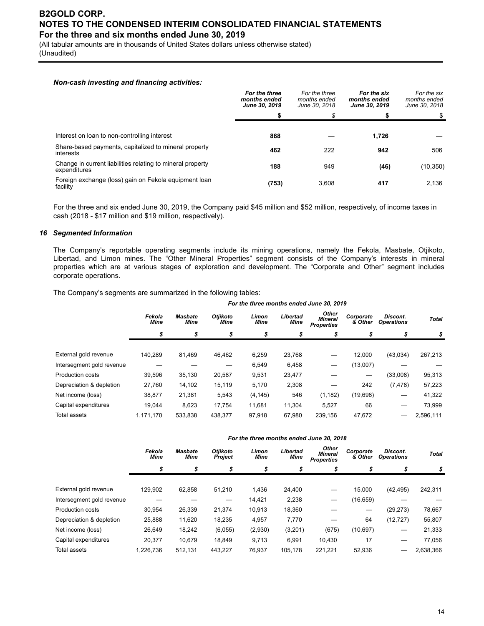(All tabular amounts are in thousands of United States dollars unless otherwise stated) (Unaudited)

#### *Non-cash investing and financing activities:*

|                                                                            | For the three<br>months ended<br>June 30, 2019 | For the three<br>months ended<br>June 30, 2018 | For the six<br>months ended<br>June 30, 2019 | For the six<br>months ended<br>June 30, 2018 |
|----------------------------------------------------------------------------|------------------------------------------------|------------------------------------------------|----------------------------------------------|----------------------------------------------|
|                                                                            |                                                | \$                                             | S                                            | \$                                           |
|                                                                            |                                                |                                                |                                              |                                              |
| Interest on loan to non-controlling interest                               | 868                                            |                                                | 1,726                                        |                                              |
| Share-based payments, capitalized to mineral property<br>interests         | 462                                            | 222                                            | 942                                          | 506                                          |
| Change in current liabilities relating to mineral property<br>expenditures | 188                                            | 949                                            | (46)                                         | (10, 350)                                    |
| Foreign exchange (loss) gain on Fekola equipment loan<br>facility          | (753)                                          | 3.608                                          | 417                                          | 2,136                                        |

For the three and six ended June 30, 2019, the Company paid \$45 million and \$52 million, respectively, of income taxes in cash (2018 - \$17 million and \$19 million, respectively).

#### *16 Segmented Information*

The Company's reportable operating segments include its mining operations, namely the Fekola, Masbate, Otjikoto, Libertad, and Limon mines. The "Other Mineral Properties" segment consists of the Company's interests in mineral properties which are at various stages of exploration and development. The "Corporate and Other" segment includes corporate operations.

The Company's segments are summarized in the following tables:

|                           |                       |                        |                         |                      |                         | For the three months ended June 30, 2019     |                      |                               |              |
|---------------------------|-----------------------|------------------------|-------------------------|----------------------|-------------------------|----------------------------------------------|----------------------|-------------------------------|--------------|
|                           | Fekola<br><b>Mine</b> | <b>Masbate</b><br>Mine | <b>Otiikoto</b><br>Mine | Limon<br><b>Mine</b> | Libertad<br><b>Mine</b> | Other<br><b>Mineral</b><br><b>Properties</b> | Corporate<br>& Other | Discont.<br><b>Operations</b> | <b>Total</b> |
|                           |                       | \$                     | \$                      | \$                   | \$                      |                                              | \$                   | S                             | \$           |
|                           |                       |                        |                         |                      |                         |                                              |                      |                               |              |
| External gold revenue     | 140.289               | 81,469                 | 46.462                  | 6,259                | 23,768                  |                                              | 12.000               | (43,034)                      | 267,213      |
| Intersegment gold revenue |                       |                        |                         | 6,549                | 6,458                   |                                              | (13,007)             |                               |              |
| Production costs          | 39,596                | 35,130                 | 20,587                  | 9,531                | 23,477                  |                                              | —                    | (33,008)                      | 95,313       |
| Depreciation & depletion  | 27,760                | 14,102                 | 15,119                  | 5,170                | 2,308                   |                                              | 242                  | (7, 478)                      | 57,223       |
| Net income (loss)         | 38,877                | 21,381                 | 5,543                   | (4, 145)             | 546                     | (1, 182)                                     | (19,698)             |                               | 41,322       |
| Capital expenditures      | 19.044                | 8,623                  | 17.754                  | 11,681               | 11,304                  | 5,527                                        | 66                   |                               | 73,999       |
| Total assets              | 1.171.170             | 533.838                | 438.377                 | 97,918               | 67.980                  | 239,156                                      | 47,672               | --                            | 2,596,111    |

|                           |                       |                               |                            |                      |                         | For the three months ended June 30, 2018     |                      |                                      |              |  |
|---------------------------|-----------------------|-------------------------------|----------------------------|----------------------|-------------------------|----------------------------------------------|----------------------|--------------------------------------|--------------|--|
|                           | Fekola<br><b>Mine</b> | <b>Masbate</b><br><b>Mine</b> | Otjikoto<br><b>Project</b> | Limon<br><b>Mine</b> | Libertad<br><b>Mine</b> | Other<br><b>Mineral</b><br><b>Properties</b> | Corporate<br>& Other | <b>Discont.</b><br><b>Operations</b> | <b>Total</b> |  |
|                           | \$                    | \$                            | \$                         | \$                   | \$                      | \$                                           | \$                   | \$                                   | \$           |  |
| External gold revenue     | 129.902               | 62.858                        | 51,210                     | 1,436                | 24.400                  |                                              | 15.000               | (42, 495)                            | 242,311      |  |
| Intersegment gold revenue |                       |                               | —                          | 14,421               | 2,238                   | —                                            | (16, 659)            |                                      |              |  |
| Production costs          | 30.954                | 26,339                        | 21,374                     | 10.913               | 18.360                  |                                              | -                    | (29, 273)                            | 78,667       |  |
| Depreciation & depletion  | 25,888                | 11,620                        | 18,235                     | 4,957                | 7,770                   |                                              | 64                   | (12, 727)                            | 55,807       |  |
| Net income (loss)         | 26,649                | 18,242                        | (6,055)                    | (2,930)              | (3,201)                 | (675)                                        | (10, 697)            |                                      | 21,333       |  |
| Capital expenditures      | 20,377                | 10,679                        | 18.849                     | 9,713                | 6.991                   | 10.430                                       | 17                   |                                      | 77,056       |  |
| Total assets              | 1,226,736             | 512,131                       | 443.227                    | 76,937               | 105.178                 | 221.221                                      | 52,936               |                                      | 2,638,366    |  |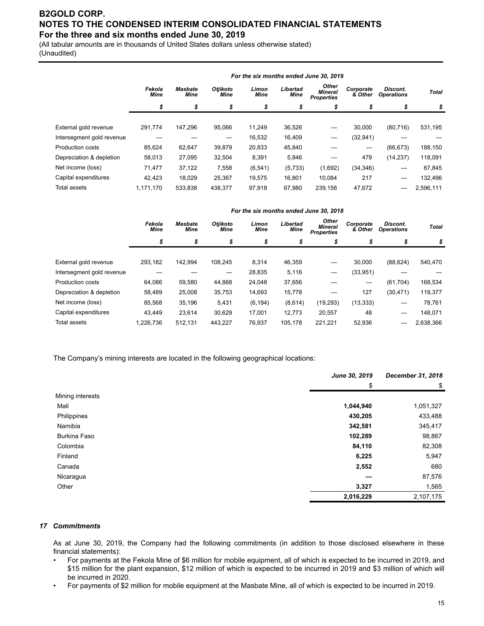(All tabular amounts are in thousands of United States dollars unless otherwise stated) (Unaudited)

|                           | For the six months ended June 30, 2019 |                               |                         |                      |                         |                                              |                      |                               |              |  |  |  |
|---------------------------|----------------------------------------|-------------------------------|-------------------------|----------------------|-------------------------|----------------------------------------------|----------------------|-------------------------------|--------------|--|--|--|
|                           | Fekola<br><b>Mine</b>                  | <b>Masbate</b><br><b>Mine</b> | <b>Otiikoto</b><br>Mine | Limon<br><b>Mine</b> | Libertad<br><b>Mine</b> | <b>Other</b><br>Mineral<br><b>Properties</b> | Corporate<br>& Other | Discont.<br><b>Operations</b> | <b>Total</b> |  |  |  |
|                           | \$                                     | \$                            | \$                      | \$                   | \$                      | \$                                           | \$                   | \$                            | \$           |  |  |  |
|                           |                                        |                               |                         |                      |                         |                                              |                      |                               |              |  |  |  |
| External gold revenue     | 291.774                                | 147.296                       | 95.066                  | 11,249               | 36,526                  |                                              | 30.000               | (80, 716)                     | 531,195      |  |  |  |
| Intersegment gold revenue |                                        |                               |                         | 16,532               | 16,409                  |                                              | (32, 941)            |                               |              |  |  |  |
| <b>Production costs</b>   | 85,624                                 | 62,647                        | 39.879                  | 20,833               | 45,840                  |                                              | —                    | (66, 673)                     | 188,150      |  |  |  |
| Depreciation & depletion  | 58,013                                 | 27.095                        | 32.504                  | 8,391                | 5,846                   |                                              | 479                  | (14,237)                      | 118,091      |  |  |  |
| Net income (loss)         | 71,477                                 | 37,122                        | 7,558                   | (6, 541)             | (5,733)                 | (1,692)                                      | (34, 346)            |                               | 67,845       |  |  |  |
| Capital expenditures      | 42.423                                 | 18,029                        | 25,367                  | 19,575               | 16.801                  | 10.084                                       | 217                  |                               | 132,496      |  |  |  |
| <b>Total assets</b>       | 1.171.170                              | 533.838                       | 438.377                 | 97.918               | 67.980                  | 239.156                                      | 47.672               |                               | 2.596.111    |  |  |  |

|                           |                       |                               |                               |              |         | For the six months ended June 30, 2018 |           |           |           |
|---------------------------|-----------------------|-------------------------------|-------------------------------|--------------|---------|----------------------------------------|-----------|-----------|-----------|
|                           | Fekola<br><b>Mine</b> | <b>Masbate</b><br><b>Mine</b> | Discont.<br><b>Operations</b> | <b>Total</b> |         |                                        |           |           |           |
|                           | \$                    | \$                            | \$                            | \$           | \$      | \$                                     | \$        | ድ         | \$        |
| External gold revenue     | 293.182               | 142.994                       | 108.245                       | 8.314        | 46,359  |                                        | 30.000    | (88, 624) | 540,470   |
| Intersegment gold revenue |                       |                               |                               | 28.835       | 5,116   |                                        | (33, 951) |           |           |
| Production costs          | 64,086                | 59,580                        | 44,868                        | 24,048       | 37,656  |                                        |           | (61, 704) | 168,534   |
| Depreciation & depletion  | 58.489                | 25,008                        | 35,753                        | 14,693       | 15,778  |                                        | 127       | (30, 471) | 119,377   |
| Net income (loss)         | 85.568                | 35,196                        | 5,431                         | (6, 194)     | (8,614) | (19, 293)                              | (13, 333) |           | 78,761    |
| Capital expenditures      | 43.449                | 23.614                        | 30.629                        | 17.001       | 12.773  | 20,557                                 | 48        |           | 148,071   |
| Total assets              | 1,226,736             | 512,131                       | 443,227                       | 76,937       | 105.178 | 221,221                                | 52,936    |           | 2,638,366 |
|                           |                       |                               |                               |              |         |                                        |           |           |           |

The Company's mining interests are located in the following geographical locations:

|                     | June 30, 2019 | December 31, 2018 |
|---------------------|---------------|-------------------|
|                     | \$            | \$                |
| Mining interests    |               |                   |
| Mali                | 1,044,940     | 1,051,327         |
| Philippines         | 430,205       | 433,488           |
| Namibia             | 342,581       | 345,417           |
| <b>Burkina Faso</b> | 102,289       | 98,867            |
| Colombia            | 84,110        | 82,308            |
| Finland             | 6,225         | 5,947             |
| Canada              | 2,552         | 680               |
| Nicaragua           |               | 87,576            |
| Other               | 3,327         | 1,565             |
|                     | 2,016,229     | 2,107,175         |

#### *17 Commitments*

As at June 30, 2019, the Company had the following commitments (in addition to those disclosed elsewhere in these financial statements):

- For payments at the Fekola Mine of \$6 million for mobile equipment, all of which is expected to be incurred in 2019, and \$15 million for the plant expansion, \$12 million of which is expected to be incurred in 2019 and \$3 million of which will be incurred in 2020.
- For payments of \$2 million for mobile equipment at the Masbate Mine, all of which is expected to be incurred in 2019.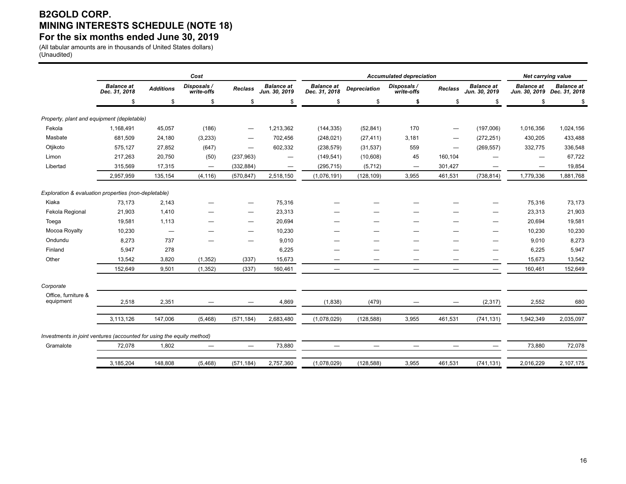### **B2GOLD CORP. MINING INTERESTS SCHEDULE (NOTE 18) For the six months ended June 30, 2019**

(All tabular amounts are in thousands of United States dollars) (Unaudited)

|                                                                       |                                    |                                 | Cost                      |                          |                                    | <b>Accumulated depreciation</b>    |                          |                           |         |                                    | Net carrying value |                                                  |
|-----------------------------------------------------------------------|------------------------------------|---------------------------------|---------------------------|--------------------------|------------------------------------|------------------------------------|--------------------------|---------------------------|---------|------------------------------------|--------------------|--------------------------------------------------|
|                                                                       | <b>Balance at</b><br>Dec. 31, 2018 | <b>Additions</b>                | Disposals /<br>write-offs | <b>Reclass</b>           | <b>Balance at</b><br>Jun. 30, 2019 | <b>Balance at</b><br>Dec. 31, 2018 | <b>Depreciation</b>      | Disposals /<br>write-offs | Reclass | <b>Balance at</b><br>Jun. 30, 2019 | <b>Balance at</b>  | <b>Balance at</b><br>Jun. 30, 2019 Dec. 31, 2018 |
|                                                                       | \$                                 | \$                              | \$                        | \$                       | \$                                 | \$                                 | \$                       | \$                        | \$      | \$                                 | \$                 | \$                                               |
| Property, plant and equipment (depletable)                            |                                    |                                 |                           |                          |                                    |                                    |                          |                           |         |                                    |                    |                                                  |
| Fekola                                                                | 1,168,491                          | 45,057                          | (186)                     | $\overline{\phantom{0}}$ | 1,213,362                          | (144, 335)                         | (52, 841)                | 170                       |         | (197,006)                          | 1,016,356          | 1,024,156                                        |
| Masbate                                                               | 681,509                            | 24,180                          | (3,233)                   |                          | 702,456                            | (248, 021)                         | (27, 411)                | 3,181                     |         | (272, 251)                         | 430,205            | 433,488                                          |
| Otjikoto                                                              | 575,127                            | 27,852                          | (647)                     |                          | 602,332                            | (238, 579)                         | (31, 537)                | 559                       |         | (269, 557)                         | 332,775            | 336,548                                          |
| Limon                                                                 | 217,263                            | 20,750                          | (50)                      | (237, 963)               | $\hspace{0.1mm}-\hspace{0.1mm}$    | (149, 541)                         | (10,608)                 | 45                        | 160,104 |                                    |                    | 67,722                                           |
| Libertad                                                              | 315,569                            | 17,315                          | $\overline{\phantom{m}}$  | (332, 884)               | $\overbrace{\phantom{12322111}}$   | (295, 715)                         | (5, 712)                 | $\overline{\phantom{0}}$  | 301,427 |                                    | -                  | 19,854                                           |
|                                                                       | 2,957,959                          | 135,154                         | (4, 116)                  | (570, 847)               | 2,518,150                          | (1,076,191)                        | (128, 109)               | 3,955                     | 461,531 | (738, 814)                         | 1,779,336          | 1,881,768                                        |
|                                                                       |                                    |                                 |                           |                          |                                    |                                    |                          |                           |         |                                    |                    |                                                  |
| Exploration & evaluation properties (non-depletable)                  |                                    |                                 |                           |                          |                                    |                                    |                          |                           |         |                                    |                    |                                                  |
| Kiaka                                                                 | 73,173                             | 2,143                           |                           | -                        | 75,316                             |                                    |                          |                           |         |                                    | 75,316             | 73,173                                           |
| Fekola Regional                                                       | 21,903                             | 1,410                           |                           |                          | 23,313                             |                                    |                          |                           |         |                                    | 23,313             | 21,903                                           |
| Toega                                                                 | 19,581                             | 1,113                           |                           |                          | 20,694                             |                                    |                          |                           |         |                                    | 20,694             | 19,581                                           |
| Mocoa Royalty                                                         | 10,230                             | $\hspace{0.1mm}-\hspace{0.1mm}$ |                           |                          | 10,230                             |                                    |                          |                           |         |                                    | 10,230             | 10,230                                           |
| Ondundu                                                               | 8,273                              | 737                             |                           |                          | 9,010                              |                                    |                          |                           |         | -                                  | 9,010              | 8,273                                            |
| Finland                                                               | 5,947                              | 278                             |                           |                          | 6,225                              |                                    |                          |                           |         |                                    | 6,225              | 5,947                                            |
| Other                                                                 | 13,542                             | 3,820                           | (1, 352)                  | (337)                    | 15,673                             |                                    |                          |                           |         | -                                  | 15,673             | 13,542                                           |
|                                                                       | 152.649                            | 9,501                           | (1, 352)                  | (337)                    | 160,461                            |                                    | $\overline{\phantom{0}}$ | $\overline{\phantom{0}}$  |         | $\qquad \qquad \longleftarrow$     | 160,461            | 152,649                                          |
| Corporate                                                             |                                    |                                 |                           |                          |                                    |                                    |                          |                           |         |                                    |                    |                                                  |
| Office, furniture &<br>equipment                                      | 2,518                              | 2,351                           |                           |                          | 4,869                              | (1,838)                            | (479)                    |                           |         | (2, 317)                           | 2,552              | 680                                              |
|                                                                       |                                    |                                 |                           |                          |                                    |                                    |                          |                           |         |                                    |                    |                                                  |
|                                                                       | 3,113,126                          | 147,006                         | (5,468)                   | (571, 184)               | 2,683,480                          | (1,078,029)                        | (128, 588)               | 3,955                     | 461,531 | (741, 131)                         | 1,942,349          | 2,035,097                                        |
| Investments in joint ventures (accounted for using the equity method) |                                    |                                 |                           |                          |                                    |                                    |                          |                           |         |                                    |                    |                                                  |
| Gramalote                                                             | 72,078                             | 1,802                           |                           |                          | 73,880                             |                                    | $\overline{\phantom{0}}$ |                           |         |                                    | 73,880             | 72,078                                           |
|                                                                       |                                    |                                 |                           |                          |                                    |                                    |                          |                           |         |                                    |                    |                                                  |
|                                                                       | 3,185,204                          | 148,808                         | (5, 468)                  | (571, 184)               | 2,757,360                          | (1,078,029)                        | (128, 588)               | 3,955                     | 461,531 | (741, 131)                         | 2,016,229          | 2,107,175                                        |